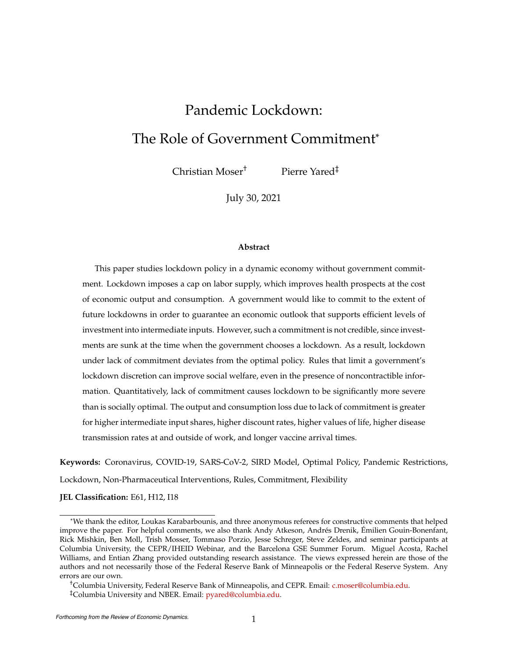# <span id="page-0-0"></span>Pandemic Lockdown: The Role of Government Commitment\*

Christian Moser† Pierre Yared‡

July 30, 2021

#### **Abstract**

This paper studies lockdown policy in a dynamic economy without government commitment. Lockdown imposes a cap on labor supply, which improves health prospects at the cost of economic output and consumption. A government would like to commit to the extent of future lockdowns in order to guarantee an economic outlook that supports efficient levels of investment into intermediate inputs. However, such a commitment is not credible, since investments are sunk at the time when the government chooses a lockdown. As a result, lockdown under lack of commitment deviates from the optimal policy. Rules that limit a government's lockdown discretion can improve social welfare, even in the presence of noncontractible information. Quantitatively, lack of commitment causes lockdown to be significantly more severe than is socially optimal. The output and consumption loss due to lack of commitment is greater for higher intermediate input shares, higher discount rates, higher values of life, higher disease transmission rates at and outside of work, and longer vaccine arrival times.

**Keywords:** Coronavirus, COVID-19, SARS-CoV-2, SIRD Model, Optimal Policy, Pandemic Restrictions, Lockdown, Non-Pharmaceutical Interventions, Rules, Commitment, Flexibility

**JEL Classification:** E61, H12, I18

†Columbia University, Federal Reserve Bank of Minneapolis, and CEPR. Email: [c.moser@columbia.edu.](mailto:c.moser@columbia.edu) ‡Columbia University and NBER. Email: [pyared@columbia.edu.](mailto:pyared@columbia.edu)

<sup>\*</sup>We thank the editor, Loukas Karabarbounis, and three anonymous referees for constructive comments that helped improve the paper. For helpful comments, we also thank Andy Atkeson, Andrés Drenik, Émilien Gouin-Bonenfant, Rick Mishkin, Ben Moll, Trish Mosser, Tommaso Porzio, Jesse Schreger, Steve Zeldes, and seminar participants at Columbia University, the CEPR/IHEID Webinar, and the Barcelona GSE Summer Forum. Miguel Acosta, Rachel Williams, and Entian Zhang provided outstanding research assistance. The views expressed herein are those of the authors and not necessarily those of the Federal Reserve Bank of Minneapolis or the Federal Reserve System. Any errors are our own.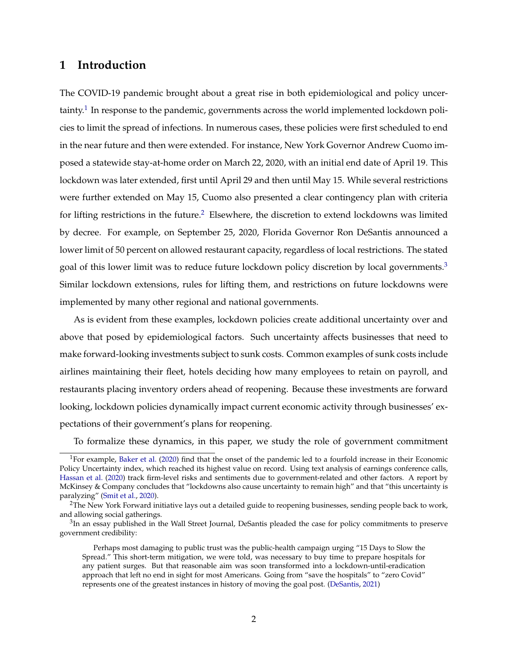## **1 Introduction**

The COVID-19 pandemic brought about a great rise in both epidemiological and policy uncertainty.<sup>1</sup> In response to the pandemic, governments across the world implemented lockdown policies to limit the spread of infections. In numerous cases, these policies were first scheduled to end in the near future and then were extended. For instance, New York Governor Andrew Cuomo imposed a statewide stay-at-home order on March 22, 2020, with an initial end date of April 19. This lockdown was later extended, first until April 29 and then until May 15. While several restrictions were further extended on May 15, Cuomo also presented a clear contingency plan with criteria for lifting restrictions in the future.<sup>2</sup> Elsewhere, the discretion to extend lockdowns was limited by decree. For example, on September 25, 2020, Florida Governor Ron DeSantis announced a lower limit of 50 percent on allowed restaurant capacity, regardless of local restrictions. The stated goal of this lower limit was to reduce future lockdown policy discretion by local governments.<sup>[3](#page-1-2)</sup> Similar lockdown extensions, rules for lifting them, and restrictions on future lockdowns were implemented by many other regional and national governments.

As is evident from these examples, lockdown policies create additional uncertainty over and above that posed by epidemiological factors. Such uncertainty affects businesses that need to make forward-looking investments subject to sunk costs. Common examples of sunk costs include airlines maintaining their fleet, hotels deciding how many employees to retain on payroll, and restaurants placing inventory orders ahead of reopening. Because these investments are forward looking, lockdown policies dynamically impact current economic activity through businesses' expectations of their government's plans for reopening.

To formalize these dynamics, in this paper, we study the role of government commitment

<span id="page-1-0"></span><sup>&</sup>lt;sup>1</sup>For example, [Baker et al.](#page-30-0) [\(2020\)](#page-30-0) find that the onset of the pandemic led to a fourfold increase in their Economic Policy Uncertainty index, which reached its highest value on record. Using text analysis of earnings conference calls, [Hassan et al.](#page-31-0) [\(2020\)](#page-31-0) track firm-level risks and sentiments due to government-related and other factors. A report by McKinsey & Company concludes that "lockdowns also cause uncertainty to remain high" and that "this uncertainty is paralyzing" [\(Smit et al.,](#page-31-1) [2020\)](#page-31-1).

<span id="page-1-1"></span><sup>&</sup>lt;sup>2</sup>The New York Forward initiative lays out a detailed guide to reopening businesses, sending people back to work, and allowing social gatherings.

<span id="page-1-2"></span><sup>&</sup>lt;sup>3</sup>In an essay published in the Wall Street Journal, DeSantis pleaded the case for policy commitments to preserve government credibility:

Perhaps most damaging to public trust was the public-health campaign urging "15 Days to Slow the Spread." This short-term mitigation, we were told, was necessary to buy time to prepare hospitals for any patient surges. But that reasonable aim was soon transformed into a lockdown-until-eradication approach that left no end in sight for most Americans. Going from "save the hospitals" to "zero Covid" represents one of the greatest instances in history of moving the goal post. [\(DeSantis,](#page-30-1) [2021\)](#page-30-1)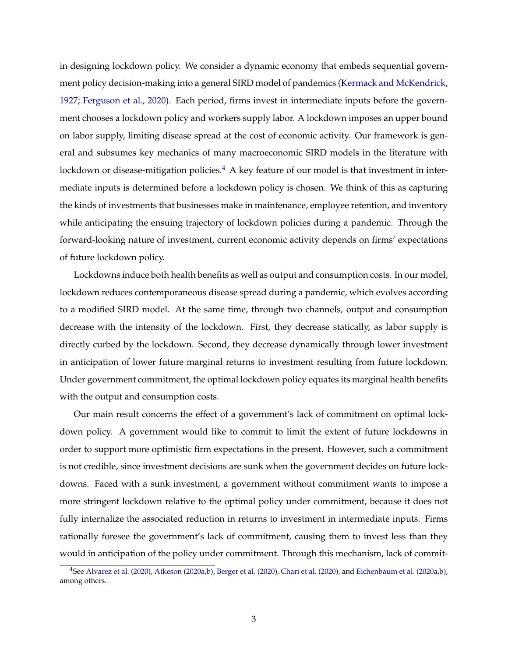in designing lockdown policy. We consider a dynamic economy that embeds sequential government policy decision-making into a general SIRD model of pandemics [\(Kermack and McKendrick,](#page-31-2) [1927;](#page-31-2) [Ferguson et al.,](#page-30-2) [2020\)](#page-30-2). Each period, firms invest in intermediate inputs before the government chooses a lockdown policy and workers supply labor. A lockdown imposes an upper bound on labor supply, limiting disease spread at the cost of economic activity. Our framework is general and subsumes key mechanics of many macroeconomic SIRD models in the literature with lockdown or disease-mitigation policies. $4 \,$  $4 \,$  A key feature of our model is that investment in intermediate inputs is determined before a lockdown policy is chosen. We think of this as capturing the kinds of investments that businesses make in maintenance, employee retention, and inventory while anticipating the ensuing trajectory of lockdown policies during a pandemic. Through the forward-looking nature of investment, current economic activity depends on firms' expectations of future lockdown policy.

Lockdowns induce both health benefits as well as output and consumption costs. In our model, lockdown reduces contemporaneous disease spread during a pandemic, which evolves according to a modified SIRD model. At the same time, through two channels, output and consumption decrease with the intensity of the lockdown. First, they decrease statically, as labor supply is directly curbed by the lockdown. Second, they decrease dynamically through lower investment in anticipation of lower future marginal returns to investment resulting from future lockdown. Under government commitment, the optimal lockdown policy equates its marginal health benefits with the output and consumption costs.

Our main result concerns the effect of a government's lack of commitment on optimal lockdown policy. A government would like to commit to limit the extent of future lockdowns in order to support more optimistic firm expectations in the present. However, such a commitment is not credible, since investment decisions are sunk when the government decides on future lockdowns. Faced with a sunk investment, a government without commitment wants to impose a more stringent lockdown relative to the optimal policy under commitment, because it does not fully internalize the associated reduction in returns to investment in intermediate inputs. Firms rationally foresee the government's lack of commitment, causing them to invest less than they would in anticipation of the policy under commitment. Through this mechanism, lack of commit-

<span id="page-2-0"></span><sup>4</sup>See [Alvarez et al.](#page-30-3) [\(2020\)](#page-30-3), [Atkeson](#page-30-4) [\(2020a,](#page-30-4)[b\)](#page-30-5), [Berger et al.](#page-30-6) [\(2020\)](#page-30-6), [Chari et al.](#page-30-7) [\(2020\)](#page-30-7), and [Eichenbaum et al.](#page-30-8) [\(2020a,](#page-30-8)[b\)](#page-30-9), among others.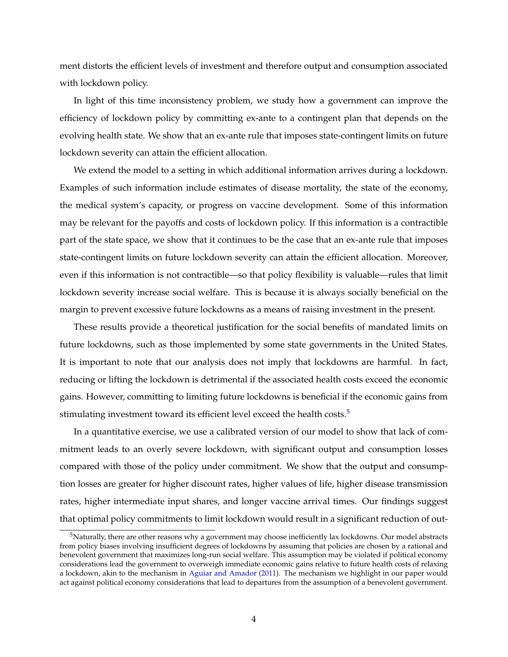ment distorts the efficient levels of investment and therefore output and consumption associated with lockdown policy.

In light of this time inconsistency problem, we study how a government can improve the efficiency of lockdown policy by committing ex-ante to a contingent plan that depends on the evolving health state. We show that an ex-ante rule that imposes state-contingent limits on future lockdown severity can attain the efficient allocation.

We extend the model to a setting in which additional information arrives during a lockdown. Examples of such information include estimates of disease mortality, the state of the economy, the medical system's capacity, or progress on vaccine development. Some of this information may be relevant for the payoffs and costs of lockdown policy. If this information is a contractible part of the state space, we show that it continues to be the case that an ex-ante rule that imposes state-contingent limits on future lockdown severity can attain the efficient allocation. Moreover, even if this information is not contractible—so that policy flexibility is valuable—rules that limit lockdown severity increase social welfare. This is because it is always socially beneficial on the margin to prevent excessive future lockdowns as a means of raising investment in the present.

These results provide a theoretical justification for the social benefits of mandated limits on future lockdowns, such as those implemented by some state governments in the United States. It is important to note that our analysis does not imply that lockdowns are harmful. In fact, reducing or lifting the lockdown is detrimental if the associated health costs exceed the economic gains. However, committing to limiting future lockdowns is beneficial if the economic gains from stimulating investment toward its efficient level exceed the health costs.<sup>5</sup>

In a quantitative exercise, we use a calibrated version of our model to show that lack of commitment leads to an overly severe lockdown, with significant output and consumption losses compared with those of the policy under commitment. We show that the output and consumption losses are greater for higher discount rates, higher values of life, higher disease transmission rates, higher intermediate input shares, and longer vaccine arrival times. Our findings suggest that optimal policy commitments to limit lockdown would result in a significant reduction of out-

<span id="page-3-0"></span> $5$ Naturally, there are other reasons why a government may choose inefficiently lax lockdowns. Our model abstracts from policy biases involving insufficient degrees of lockdowns by assuming that policies are chosen by a rational and benevolent government that maximizes long-run social welfare. This assumption may be violated if political economy considerations lead the government to overweigh immediate economic gains relative to future health costs of relaxing a lockdown, akin to the mechanism in [Aguiar and Amador](#page-30-10) [\(2011\)](#page-30-10). The mechanism we highlight in our paper would act against political economy considerations that lead to departures from the assumption of a benevolent government.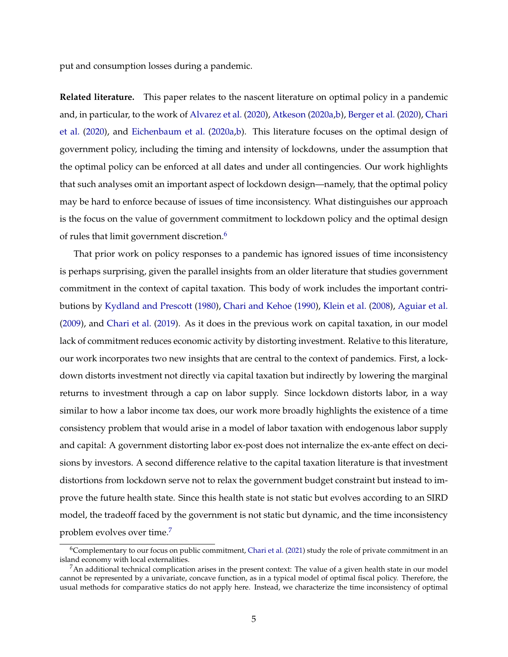put and consumption losses during a pandemic.

**Related literature.** This paper relates to the nascent literature on optimal policy in a pandemic and, in particular, to the work of [Alvarez et al.](#page-30-3) [\(2020\)](#page-30-3), [Atkeson](#page-30-4) [\(2020a,](#page-30-4)[b\)](#page-30-5), [Berger et al.](#page-30-6) [\(2020\)](#page-30-6), [Chari](#page-30-7) [et al.](#page-30-7) [\(2020\)](#page-30-7), and [Eichenbaum et al.](#page-30-8) [\(2020a](#page-30-8)[,b\)](#page-30-9). This literature focuses on the optimal design of government policy, including the timing and intensity of lockdowns, under the assumption that the optimal policy can be enforced at all dates and under all contingencies. Our work highlights that such analyses omit an important aspect of lockdown design—namely, that the optimal policy may be hard to enforce because of issues of time inconsistency. What distinguishes our approach is the focus on the value of government commitment to lockdown policy and the optimal design of rules that limit government discretion.<sup>6</sup>

That prior work on policy responses to a pandemic has ignored issues of time inconsistency is perhaps surprising, given the parallel insights from an older literature that studies government commitment in the context of capital taxation. This body of work includes the important contributions by [Kydland and Prescott](#page-31-3) [\(1980\)](#page-31-3), [Chari and Kehoe](#page-30-11) [\(1990\)](#page-30-11), [Klein et al.](#page-31-4) [\(2008\)](#page-31-4), [Aguiar et al.](#page-30-12) [\(2009\)](#page-30-12), and [Chari et al.](#page-30-13) [\(2019\)](#page-30-13). As it does in the previous work on capital taxation, in our model lack of commitment reduces economic activity by distorting investment. Relative to this literature, our work incorporates two new insights that are central to the context of pandemics. First, a lockdown distorts investment not directly via capital taxation but indirectly by lowering the marginal returns to investment through a cap on labor supply. Since lockdown distorts labor, in a way similar to how a labor income tax does, our work more broadly highlights the existence of a time consistency problem that would arise in a model of labor taxation with endogenous labor supply and capital: A government distorting labor ex-post does not internalize the ex-ante effect on decisions by investors. A second difference relative to the capital taxation literature is that investment distortions from lockdown serve not to relax the government budget constraint but instead to improve the future health state. Since this health state is not static but evolves according to an SIRD model, the tradeoff faced by the government is not static but dynamic, and the time inconsistency problem evolves over time.<sup>7</sup>

<span id="page-4-0"></span> $6$ Complementary to our focus on public commitment, [Chari et al.](#page-30-14) [\(2021\)](#page-30-14) study the role of private commitment in an island economy with local externalities.

<span id="page-4-1"></span> $^7$ An additional technical complication arises in the present context: The value of a given health state in our model cannot be represented by a univariate, concave function, as in a typical model of optimal fiscal policy. Therefore, the usual methods for comparative statics do not apply here. Instead, we characterize the time inconsistency of optimal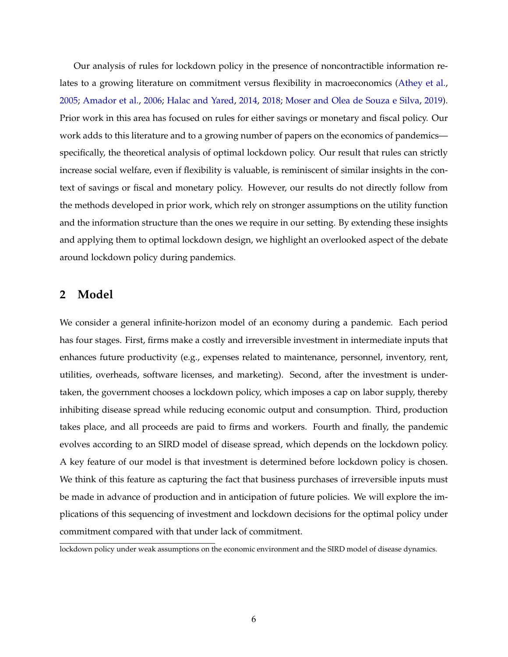Our analysis of rules for lockdown policy in the presence of noncontractible information relates to a growing literature on commitment versus flexibility in macroeconomics [\(Athey et al.,](#page-30-15) [2005;](#page-30-15) [Amador et al.,](#page-30-16) [2006;](#page-30-16) [Halac and Yared,](#page-31-5) [2014,](#page-31-5) [2018;](#page-31-6) [Moser and Olea de Souza e Silva,](#page-31-7) [2019\)](#page-31-7). Prior work in this area has focused on rules for either savings or monetary and fiscal policy. Our work adds to this literature and to a growing number of papers on the economics of pandemics specifically, the theoretical analysis of optimal lockdown policy. Our result that rules can strictly increase social welfare, even if flexibility is valuable, is reminiscent of similar insights in the context of savings or fiscal and monetary policy. However, our results do not directly follow from the methods developed in prior work, which rely on stronger assumptions on the utility function and the information structure than the ones we require in our setting. By extending these insights and applying them to optimal lockdown design, we highlight an overlooked aspect of the debate around lockdown policy during pandemics.

## **2 Model**

We consider a general infinite-horizon model of an economy during a pandemic. Each period has four stages. First, firms make a costly and irreversible investment in intermediate inputs that enhances future productivity (e.g., expenses related to maintenance, personnel, inventory, rent, utilities, overheads, software licenses, and marketing). Second, after the investment is undertaken, the government chooses a lockdown policy, which imposes a cap on labor supply, thereby inhibiting disease spread while reducing economic output and consumption. Third, production takes place, and all proceeds are paid to firms and workers. Fourth and finally, the pandemic evolves according to an SIRD model of disease spread, which depends on the lockdown policy. A key feature of our model is that investment is determined before lockdown policy is chosen. We think of this feature as capturing the fact that business purchases of irreversible inputs must be made in advance of production and in anticipation of future policies. We will explore the implications of this sequencing of investment and lockdown decisions for the optimal policy under commitment compared with that under lack of commitment.

lockdown policy under weak assumptions on the economic environment and the SIRD model of disease dynamics.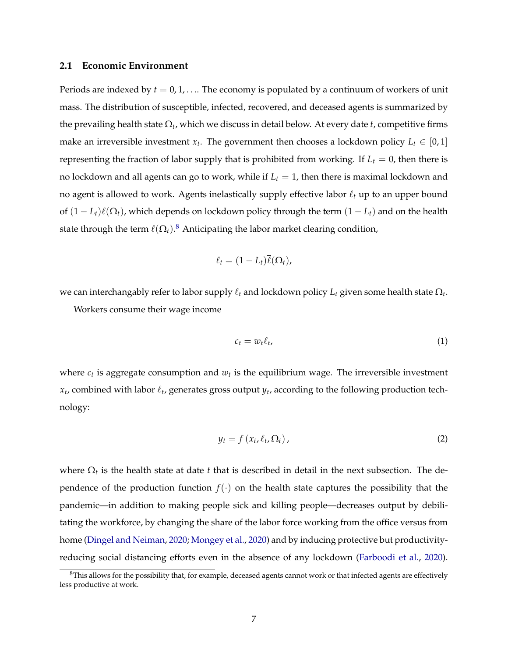#### **2.1 Economic Environment**

Periods are indexed by  $t = 0, 1, \ldots$  The economy is populated by a continuum of workers of unit mass. The distribution of susceptible, infected, recovered, and deceased agents is summarized by the prevailing health state  $\Omega_t$ , which we discuss in detail below. At every date  $t$ , competitive firms make an irreversible investment  $x_t$ . The government then chooses a lockdown policy  $L_t \in [0, 1]$ representing the fraction of labor supply that is prohibited from working. If  $L_t = 0$ , then there is no lockdown and all agents can go to work, while if  $L_t = 1$ , then there is maximal lockdown and no agent is allowed to work. Agents inelastically supply effective labor  $\ell_t$  up to an upper bound of  $(1 - L_t)\overline{\ell}(\Omega_t)$ , which depends on lockdown policy through the term  $(1 - L_t)$  and on the health state through the term  $\overline{\ell}(\Omega_t) .^8$  $\overline{\ell}(\Omega_t) .^8$  Anticipating the labor market clearing condition,

$$
\ell_t = (1-L_t)\overline{\ell}(\Omega_t),
$$

we can interchangably refer to labor supply  $\ell_t$  and lockdown policy  $L_t$  given some health state  $\Omega_t$ .

Workers consume their wage income

<span id="page-6-1"></span>
$$
c_t = w_t \ell_t, \tag{1}
$$

where  $c_t$  is aggregate consumption and  $w_t$  is the equilibrium wage. The irreversible investment  $x_t$ , combined with labor  $\ell_t$ , generates gross output  $y_t$ , according to the following production technology:

$$
y_t = f\left(x_t, \ell_t, \Omega_t\right),\tag{2}
$$

where  $\Omega_t$  is the health state at date *t* that is described in detail in the next subsection. The dependence of the production function  $f(\cdot)$  on the health state captures the possibility that the pandemic—in addition to making people sick and killing people—decreases output by debilitating the workforce, by changing the share of the labor force working from the office versus from home [\(Dingel and Neiman,](#page-30-17) [2020;](#page-30-17) [Mongey et al.,](#page-31-8) [2020\)](#page-31-8) and by inducing protective but productivityreducing social distancing efforts even in the absence of any lockdown [\(Farboodi et al.,](#page-30-18) [2020\)](#page-30-18).

<span id="page-6-0"></span> ${}^{8}$ This allows for the possibility that, for example, deceased agents cannot work or that infected agents are effectively less productive at work.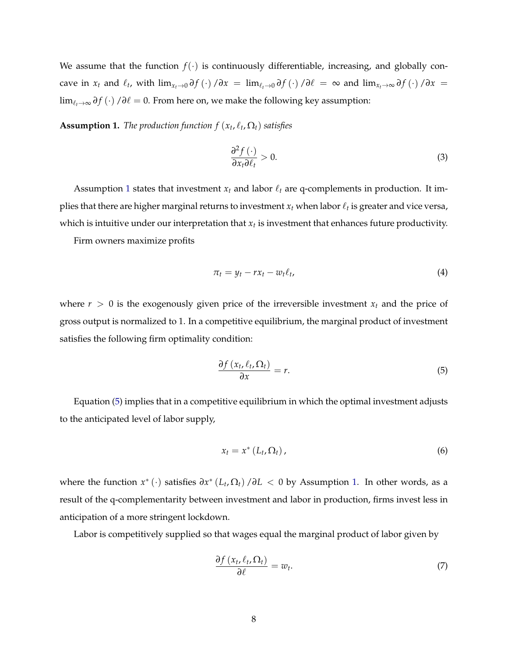We assume that the function  $f(\cdot)$  is continuously differentiable, increasing, and globally concave in  $x_t$  and  $\ell_t$ , with  $\lim_{x_t\to 0} \partial f(\cdot)/\partial x = \lim_{\ell\to 0} \partial f(\cdot)/\partial \ell = \infty$  and  $\lim_{x_t\to \infty} \partial f(\cdot)/\partial x =$ lim<sub> $\ell_t$ →∞</sub>  $\partial f$  (*·*) / $\partial \ell$  = 0. From here on, we make the following key assumption:

<span id="page-7-0"></span>**Assumption 1.** *The production function*  $f(x_t, \ell_t, \Omega_t)$  *satisfies* 

$$
\frac{\partial^2 f(\cdot)}{\partial x_t \partial \ell_t} > 0. \tag{3}
$$

Assumption [1](#page-7-0) states that investment  $x_t$  and labor  $\ell_t$  are q-complements in production. It implies that there are higher marginal returns to investment  $x_t$  when labor  $\ell_t$  is greater and vice versa, which is intuitive under our interpretation that  $x_t$  is investment that enhances future productivity.

Firm owners maximize profits

$$
\pi_t = y_t - r x_t - w_t \ell_t, \tag{4}
$$

where  $r > 0$  is the exogenously given price of the irreversible investment  $x_t$  and the price of gross output is normalized to 1. In a competitive equilibrium, the marginal product of investment satisfies the following firm optimality condition:

<span id="page-7-1"></span>
$$
\frac{\partial f\left(x_t, \ell_t, \Omega_t\right)}{\partial x} = r. \tag{5}
$$

Equation [\(5\)](#page-7-1) implies that in a competitive equilibrium in which the optimal investment adjusts to the anticipated level of labor supply,

<span id="page-7-3"></span>
$$
x_t = x^* \left( L_t, \Omega_t \right), \tag{6}
$$

where the function  $x^*$  (·) satisfies  $\partial x^*$  ( $L_t$ ,  $\Omega_t$ ) / $\partial L$  < 0 by Assumption [1.](#page-7-0) In other words, as a result of the q-complementarity between investment and labor in production, firms invest less in anticipation of a more stringent lockdown.

Labor is competitively supplied so that wages equal the marginal product of labor given by

<span id="page-7-2"></span>
$$
\frac{\partial f\left(x_t, \ell_t, \Omega_t\right)}{\partial \ell} = w_t. \tag{7}
$$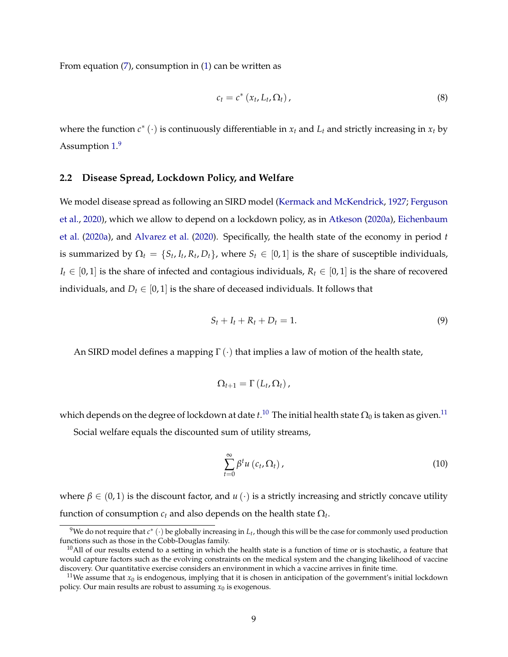From equation [\(7\)](#page-7-2), consumption in [\(1\)](#page-6-1) can be written as

<span id="page-8-3"></span>
$$
c_t = c^* (x_t, L_t, \Omega_t), \qquad (8)
$$

where the function  $c^*$  ( $\cdot$ ) is continuously differentiable in  $x_t$  and  $L_t$  and strictly increasing in  $x_t$  by Assumption [1.](#page-7-0)<sup>[9](#page-8-0)</sup>

#### **2.2 Disease Spread, Lockdown Policy, and Welfare**

We model disease spread as following an SIRD model [\(Kermack and McKendrick,](#page-31-2) [1927;](#page-31-2) [Ferguson](#page-30-2) [et al.,](#page-30-2) [2020\)](#page-30-2), which we allow to depend on a lockdown policy, as in [Atkeson](#page-30-4) [\(2020a\)](#page-30-4), [Eichenbaum](#page-30-8) [et al.](#page-30-8) [\(2020a\)](#page-30-8), and [Alvarez et al.](#page-30-3) [\(2020\)](#page-30-3). Specifically, the health state of the economy in period *t* is summarized by  $\Omega_t = \{S_t, I_t, R_t, D_t\}$ , where  $S_t \in [0, 1]$  is the share of susceptible individuals,  $I_t \in [0, 1]$  is the share of infected and contagious individuals,  $R_t \in [0, 1]$  is the share of recovered individuals, and  $D_t \in [0, 1]$  is the share of deceased individuals. It follows that

$$
S_t + I_t + R_t + D_t = 1.
$$
\n<sup>(9)</sup>

An SIRD model defines a mapping  $\Gamma(\cdot)$  that implies a law of motion of the health state,

$$
\Omega_{t+1}=\Gamma\left(L_t,\Omega_t\right),\,
$$

which depends on the degree of lockdown at date  $t.^{10}$  $t.^{10}$  $t.^{10}$  The initial health state  $\Omega_0$  is taken as given. $^{11}$ 

Social welfare equals the discounted sum of utility streams,

<span id="page-8-4"></span>
$$
\sum_{t=0}^{\infty} \beta^t u\left(c_t, \Omega_t\right),\tag{10}
$$

where  $\beta \in (0, 1)$  is the discount factor, and  $u(\cdot)$  is a strictly increasing and strictly concave utility function of consumption  $c_t$  and also depends on the health state  $\Omega_t$ .

<span id="page-8-0"></span><sup>&</sup>lt;sup>9</sup>We do not require that  $c^*$  (·) be globally increasing in  $L_t$ , though this will be the case for commonly used production functions such as those in the Cobb-Douglas family.

<span id="page-8-1"></span> $10$ All of our results extend to a setting in which the health state is a function of time or is stochastic, a feature that would capture factors such as the evolving constraints on the medical system and the changing likelihood of vaccine discovery. Our quantitative exercise considers an environment in which a vaccine arrives in finite time.

<span id="page-8-2"></span><sup>&</sup>lt;sup>11</sup>We assume that  $x_0$  is endogenous, implying that it is chosen in anticipation of the government's initial lockdown policy. Our main results are robust to assuming  $x_0$  is exogenous.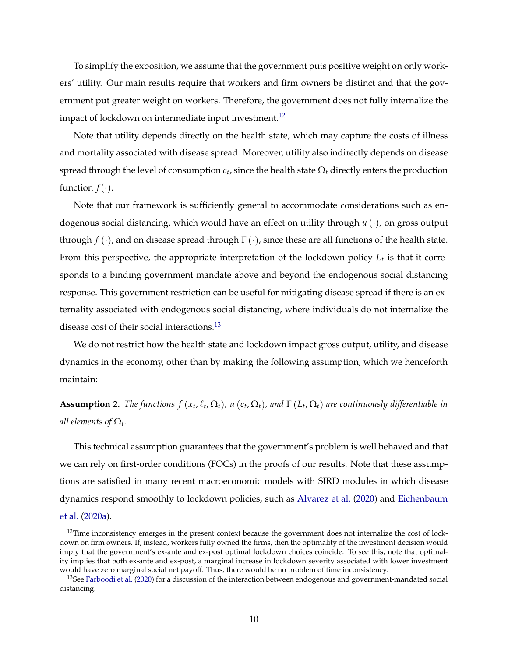To simplify the exposition, we assume that the government puts positive weight on only workers' utility. Our main results require that workers and firm owners be distinct and that the government put greater weight on workers. Therefore, the government does not fully internalize the impact of lockdown on intermediate input investment.<sup>12</sup>

Note that utility depends directly on the health state, which may capture the costs of illness and mortality associated with disease spread. Moreover, utility also indirectly depends on disease spread through the level of consumption  $c_t$ , since the health state  $\Omega_t$  directly enters the production function  $f(\cdot)$ .

Note that our framework is sufficiently general to accommodate considerations such as endogenous social distancing, which would have an effect on utility through *u* (*·*), on gross output through  $f(\cdot)$ , and on disease spread through  $\Gamma(\cdot)$ , since these are all functions of the health state. From this perspective, the appropriate interpretation of the lockdown policy  $L_t$  is that it corresponds to a binding government mandate above and beyond the endogenous social distancing response. This government restriction can be useful for mitigating disease spread if there is an externality associated with endogenous social distancing, where individuals do not internalize the disease cost of their social interactions.<sup>13</sup>

We do not restrict how the health state and lockdown impact gross output, utility, and disease dynamics in the economy, other than by making the following assumption, which we henceforth maintain:

<span id="page-9-2"></span>**Assumption 2.** *The functions*  $f(x_t, \ell_t, \Omega_t)$ *,*  $u(c_t, \Omega_t)$ *, and*  $\Gamma(L_t, \Omega_t)$  *are continuously differentiable in all elements of*  $\Omega_t$ .

This technical assumption guarantees that the government's problem is well behaved and that we can rely on first-order conditions (FOCs) in the proofs of our results. Note that these assumptions are satisfied in many recent macroeconomic models with SIRD modules in which disease dynamics respond smoothly to lockdown policies, such as [Alvarez et al.](#page-30-3) [\(2020\)](#page-30-3) and [Eichenbaum](#page-30-8) [et al.](#page-30-8) [\(2020a\)](#page-30-8).

<span id="page-9-0"></span><sup>&</sup>lt;sup>12</sup>Time inconsistency emerges in the present context because the government does not internalize the cost of lockdown on firm owners. If, instead, workers fully owned the firms, then the optimality of the investment decision would imply that the government's ex-ante and ex-post optimal lockdown choices coincide. To see this, note that optimality implies that both ex-ante and ex-post, a marginal increase in lockdown severity associated with lower investment would have zero marginal social net payoff. Thus, there would be no problem of time inconsistency.

<span id="page-9-1"></span><sup>&</sup>lt;sup>13</sup>See [Farboodi et al.](#page-30-18) [\(2020\)](#page-30-18) for a discussion of the interaction between endogenous and government-mandated social distancing.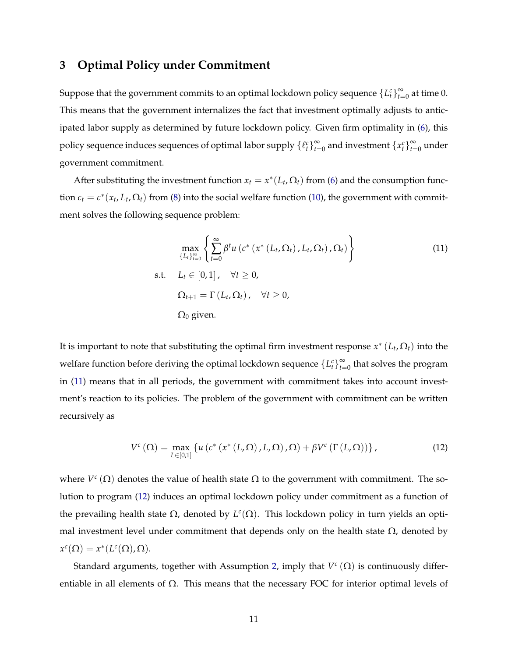# **3 Optimal Policy under Commitment**

Suppose that the government commits to an optimal lockdown policy sequence  $\{L_t^c\}_{t=0}^\infty$  at time 0. This means that the government internalizes the fact that investment optimally adjusts to anticipated labor supply as determined by future lockdown policy. Given firm optimality in [\(6\)](#page-7-3), this policy sequence induces sequences of optimal labor supply  $\{\ell_t^c\}_{t=0}^\infty$  and investment  $\{x_t^c\}_{t=0}^\infty$  under government commitment.

After substituting the investment function  $x_t = x^*(L_t, \Omega_t)$  from [\(6\)](#page-7-3) and the consumption function  $c_t = c^*(x_t, L_t, \Omega_t)$  from [\(8\)](#page-8-3) into the social welfare function [\(10\)](#page-8-4), the government with commitment solves the following sequence problem:

<span id="page-10-0"></span>
$$
\max_{\{L_t\}_{t=0}^{\infty}} \left\{ \sum_{t=0}^{\infty} \beta^t u\left(c^*\left(x^*\left(L_t, \Omega_t\right), L_t, \Omega_t\right), \Omega_t\right) \right\}
$$
\n
$$
\text{s.t.} \quad L_t \in [0, 1], \quad \forall t \ge 0,
$$
\n
$$
\Omega_{t+1} = \Gamma\left(L_t, \Omega_t\right), \quad \forall t \ge 0,
$$
\n
$$
\Omega_0 \text{ given.}
$$
\n(11)

It is important to note that substituting the optimal firm investment response  $x^*(L_t, \Omega_t)$  into the welfare function before deriving the optimal lockdown sequence  $\{L_t^c\}_{t=0}^\infty$  that solves the program in [\(11\)](#page-10-0) means that in all periods, the government with commitment takes into account investment's reaction to its policies. The problem of the government with commitment can be written recursively as

<span id="page-10-1"></span>
$$
V^{c}\left(\Omega\right)=\max_{L\in\left[0,1\right]}\left\{u\left(c^{*}\left(x^{*}\left(L,\Omega\right),L,\Omega\right),\Omega\right)+\beta V^{c}\left(\Gamma\left(L,\Omega\right)\right)\right\},\tag{12}
$$

where  $V^c(\Omega)$  denotes the value of health state  $\Omega$  to the government with commitment. The solution to program [\(12\)](#page-10-1) induces an optimal lockdown policy under commitment as a function of the prevailing health state  $\Omega$ , denoted by  $L^c(\Omega)$ . This lockdown policy in turn yields an optimal investment level under commitment that depends only on the health state  $\Omega$ , denoted by  $x^c(\Omega) = x^*(L^c(\Omega), \Omega).$ 

Standard arguments, together with Assumption [2,](#page-9-2) imply that  $V^c(\Omega)$  is continuously differentiable in all elements of  $\Omega$ . This means that the necessary FOC for interior optimal levels of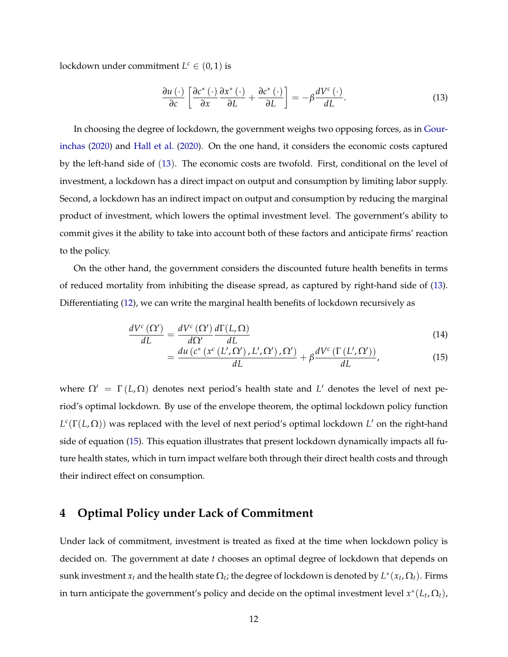lockdown under commitment  $L^c \in (0, 1)$  is

<span id="page-11-0"></span>
$$
\frac{\partial u\left(\cdot\right)}{\partial c}\left[\frac{\partial c^*\left(\cdot\right)}{\partial x}\frac{\partial x^*\left(\cdot\right)}{\partial L}+\frac{\partial c^*\left(\cdot\right)}{\partial L}\right]=-\beta\frac{dV^c\left(\cdot\right)}{dL}.\tag{13}
$$

In choosing the degree of lockdown, the government weighs two opposing forces, as in [Gour](#page-31-9)[inchas](#page-31-9) [\(2020\)](#page-31-9) and [Hall et al.](#page-31-10) [\(2020\)](#page-31-10). On the one hand, it considers the economic costs captured by the left-hand side of ([13](#page-11-0)). The economic costs are twofold. First, conditional on the level of investment, a lockdown has a direct impact on output and consumption by limiting labor supply. Second, a lockdown has an indirect impact on output and consumption by reducing the marginal product of investment, which lowers the optimal investment level. The government's ability to commit gives it the ability to take into account both of these factors and anticipate firms' reaction to the policy.

On the other hand, the government considers the discounted future health benefits in terms of reduced mortality from inhibiting the disease spread, as captured by right-hand side of [\(13\)](#page-11-0). Differentiating [\(12\)](#page-10-1), we can write the marginal health benefits of lockdown recursively as

$$
\frac{dV^{c}\left(\Omega'\right)}{dL} = \frac{dV^{c}\left(\Omega'\right)}{d\Omega'}\frac{d\Gamma(L,\Omega)}{dL}
$$
\n(14)

<span id="page-11-1"></span>
$$
= \frac{du\left(c^*\left(x^c\left(L',\Omega'\right),L',\Omega'\right),\Omega'\right)}{dL} + \beta \frac{dV^c\left(\Gamma\left(L',\Omega'\right)\right)}{dL},\tag{15}
$$

where  $\Omega' = \Gamma(L, \Omega)$  denotes next period's health state and L' denotes the level of next period's optimal lockdown. By use of the envelope theorem, the optimal lockdown policy function  $L^{c}(\Gamma(L,\Omega))$  was replaced with the level of next period's optimal lockdown *L'* on the right-hand side of equation [\(15\)](#page-11-1). This equation illustrates that present lockdown dynamically impacts all future health states, which in turn impact welfare both through their direct health costs and through their indirect effect on consumption.

## **4 Optimal Policy under Lack of Commitment**

Under lack of commitment, investment is treated as fixed at the time when lockdown policy is decided on. The government at date *t* chooses an optimal degree of lockdown that depends on sunk investment  $x_t$  and the health state  $\Omega_t$ ; the degree of lockdown is denoted by  $L^*(x_t, \Omega_t)$ . Firms in turn anticipate the government's policy and decide on the optimal investment level  $x^*(L_t, \Omega_t)$ ,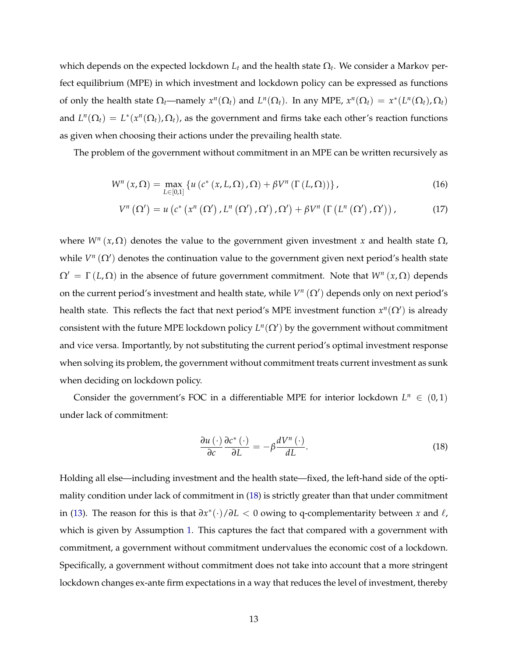which depends on the expected lockdown  $L_t$  and the health state  $\Omega_t$ . We consider a Markov perfect equilibrium (MPE) in which investment and lockdown policy can be expressed as functions of only the health state  $\Omega_t$ —namely  $x^n(\Omega_t)$  and  $L^n(\Omega_t)$ . In any MPE,  $x^n(\Omega_t) = x^*(L^n(\Omega_t), \Omega_t)$ and  $L^n(\Omega_t) = L^*(x^n(\Omega_t), \Omega_t)$ , as the government and firms take each other's reaction functions as given when choosing their actions under the prevailing health state.

The problem of the government without commitment in an MPE can be written recursively as

$$
W^{n}(x,\Omega) = \max_{L \in [0,1]} \left\{ u\left(c^{*}\left(x,L,\Omega\right),\Omega\right) + \beta V^{n}\left(\Gamma\left(L,\Omega\right)\right) \right\},\tag{16}
$$

$$
V^{n}\left(\Omega'\right)=u\left(c^{*}\left(x^{n}\left(\Omega'\right),L^{n}\left(\Omega'\right),\Omega'\right),\Omega'\right)+\beta V^{n}\left(\Gamma\left(L^{n}\left(\Omega'\right),\Omega'\right)\right),\qquad \qquad (17)
$$

where  $W^n(x, \Omega)$  denotes the value to the government given investment *x* and health state  $\Omega$ , while  $V^n(\Omega')$  denotes the continuation value to the government given next period's health state  $\Omega' = \Gamma(L, \Omega)$  in the absence of future government commitment. Note that  $W^n(x, \Omega)$  depends on the current period's investment and health state, while  $V^n(\Omega')$  depends only on next period's health state. This reflects the fact that next period's MPE investment function  $x^n(\Omega')$  is already consistent with the future MPE lockdown policy  $L^n(\Omega')$  by the government without commitment and vice versa. Importantly, by not substituting the current period's optimal investment response when solving its problem, the government without commitment treats current investment as sunk when deciding on lockdown policy.

Consider the government's FOC in a differentiable MPE for interior lockdown  $L^n \in (0,1)$ under lack of commitment:

<span id="page-12-0"></span>
$$
\frac{\partial u\left(\cdot\right)}{\partial c}\frac{\partial c^*\left(\cdot\right)}{\partial L} = -\beta \frac{dV^n\left(\cdot\right)}{dL}.\tag{18}
$$

Holding all else—including investment and the health state—fixed, the left-hand side of the optimality condition under lack of commitment in [\(18\)](#page-12-0) is strictly greater than that under commitment in [\(13\)](#page-11-0). The reason for this is that  $\frac{\partial x^*(\cdot)}{\partial L}$  < 0 owing to q-complementarity between *x* and  $\ell$ , which is given by Assumption [1.](#page-7-0) This captures the fact that compared with a government with commitment, a government without commitment undervalues the economic cost of a lockdown. Specifically, a government without commitment does not take into account that a more stringent lockdown changes ex-ante firm expectations in a way that reduces the level of investment, thereby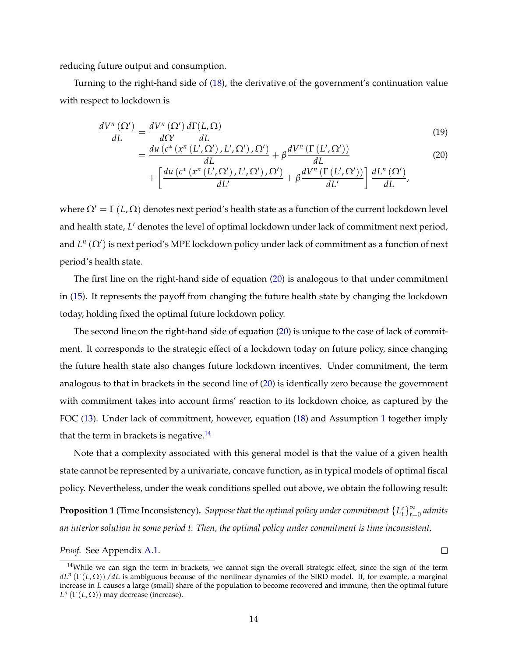reducing future output and consumption.

Turning to the right-hand side of [\(18\)](#page-12-0), the derivative of the government's continuation value with respect to lockdown is

$$
\frac{dV^{n}\left(\Omega^{'}\right)}{dL} = \frac{dV^{n}\left(\Omega^{'}\right)}{d\Omega^{'}}\frac{d\Gamma(L,\Omega)}{dL}
$$
\n(19)

$$
= \frac{du\left(c^*\left(x^n\left(L',\Omega'\right),L',\Omega'\right),\Omega'\right)}{dL} + \beta \frac{dV^n\left(\Gamma\left(L',\Omega'\right)\right)}{dL} \tag{20}
$$

<span id="page-13-0"></span>
$$
+ \left[ \frac{du\left(c^*\left(x^n\left(L',\Omega'\right),L',\Omega'\right),\Omega'\right)}{dL'} + \beta \frac{dV^n\left(\Gamma\left(L',\Omega'\right)\right)}{dL'}\right]\frac{dL^n\left(\Omega'\right)}{dL'},
$$

where  $\Omega' = \Gamma(L, \Omega)$  denotes next period's health state as a function of the current lockdown level and health state, L' denotes the level of optimal lockdown under lack of commitment next period, and  $L^n(\Omega')$  is next period's MPE lockdown policy under lack of commitment as a function of next period's health state.

The first line on the right-hand side of equation [\(20\)](#page-13-0) is analogous to that under commitment in [\(15\)](#page-11-1). It represents the payoff from changing the future health state by changing the lockdown today, holding fixed the optimal future lockdown policy.

The second line on the right-hand side of equation [\(20\)](#page-13-0) is unique to the case of lack of commitment. It corresponds to the strategic effect of a lockdown today on future policy, since changing the future health state also changes future lockdown incentives. Under commitment, the term analogous to that in brackets in the second line of [\(20\)](#page-13-0) is identically zero because the government with commitment takes into account firms' reaction to its lockdown choice, as captured by the FOC [\(13\)](#page-11-0). Under lack of commitment, however, equation [\(18\)](#page-12-0) and Assumption [1](#page-7-0) together imply that the term in brackets is negative.<sup>14</sup>

Note that a complexity associated with this general model is that the value of a given health state cannot be represented by a univariate, concave function, as in typical models of optimal fiscal policy. Nevertheless, under the weak conditions spelled out above, we obtain the following result:

<span id="page-13-2"></span>**Proposition 1** (Time Inconsistency). *Suppose that the optimal policy under commitment*  $\{L_t^c\}_{t=0}^{\infty}$  *admits an interior solution in some period t. Then, the optimal policy under commitment is time inconsistent.*

 $\Box$ 

*Proof.* See Appendix [A.1.](#page-32-0)

<span id="page-13-1"></span><sup>&</sup>lt;sup>14</sup>While we can sign the term in brackets, we cannot sign the overall strategic effect, since the sign of the term  $dL^n(\Gamma(L,\Omega))$  /*dL* is ambiguous because of the nonlinear dynamics of the SIRD model. If, for example, a marginal increase in *L* causes a large (small) share of the population to become recovered and immune, then the optimal future  $L^n$  ( $\Gamma$  ( $L$ ,  $\Omega$ )) may decrease (increase).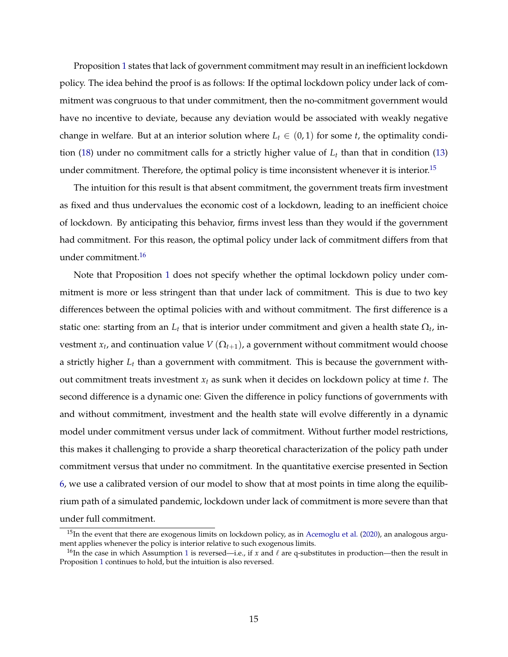Proposition [1](#page-13-2) states that lack of government commitment may result in an inefficient lockdown policy. The idea behind the proof is as follows: If the optimal lockdown policy under lack of commitment was congruous to that under commitment, then the no-commitment government would have no incentive to deviate, because any deviation would be associated with weakly negative change in welfare. But at an interior solution where  $L_t \in (0, 1)$  for some *t*, the optimality condi-tion [\(18\)](#page-12-0) under no commitment calls for a strictly higher value of  $L_t$  than that in condition [\(13\)](#page-11-0) under commitment. Therefore, the optimal policy is time inconsistent whenever it is interior.<sup>[15](#page-14-0)</sup>

The intuition for this result is that absent commitment, the government treats firm investment as fixed and thus undervalues the economic cost of a lockdown, leading to an inefficient choice of lockdown. By anticipating this behavior, firms invest less than they would if the government had commitment. For this reason, the optimal policy under lack of commitment differs from that under commitment[.16](#page-14-1)

Note that Proposition [1](#page-13-2) does not specify whether the optimal lockdown policy under commitment is more or less stringent than that under lack of commitment. This is due to two key differences between the optimal policies with and without commitment. The first difference is a static one: starting from an  $L_t$  that is interior under commitment and given a health state  $\Omega_t$ , investment  $x_t$ , and continuation value  $V(\Omega_{t+1})$ , a government without commitment would choose a strictly higher *Lt* than a government with commitment. This is because the government without commitment treats investment *xt* as sunk when it decides on lockdown policy at time *t*. The second difference is a dynamic one: Given the difference in policy functions of governments with and without commitment, investment and the health state will evolve differently in a dynamic model under commitment versus under lack of commitment. Without further model restrictions, this makes it challenging to provide a sharp theoretical characterization of the policy path under commitment versus that under no commitment. In the quantitative exercise presented in Section [6,](#page-19-0) we use a calibrated version of our model to show that at most points in time along the equilibrium path of a simulated pandemic, lockdown under lack of commitment is more severe than that under full commitment.

<span id="page-14-0"></span> $15$ In the event that there are exogenous limits on lockdown policy, as in [Acemoglu et al.](#page-30-19) [\(2020\)](#page-30-19), an analogous argument applies whenever the policy is interior relative to such exogenous limits.

<span id="page-14-1"></span><sup>&</sup>lt;sup>[1](#page-7-0)6</sup>In the case in which Assumption 1 is reversed—i.e., if *x* and  $\ell$  are q-substitutes in production—then the result in Proposition [1](#page-13-2) continues to hold, but the intuition is also reversed.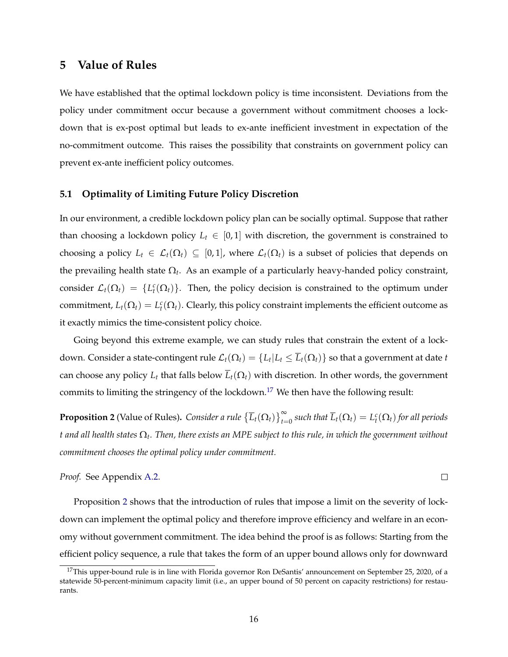# **5 Value of Rules**

We have established that the optimal lockdown policy is time inconsistent. Deviations from the policy under commitment occur because a government without commitment chooses a lockdown that is ex-post optimal but leads to ex-ante inefficient investment in expectation of the no-commitment outcome. This raises the possibility that constraints on government policy can prevent ex-ante inefficient policy outcomes.

#### **5.1 Optimality of Limiting Future Policy Discretion**

In our environment, a credible lockdown policy plan can be socially optimal. Suppose that rather than choosing a lockdown policy  $L_t \in [0, 1]$  with discretion, the government is constrained to choosing a policy  $L_t \in \mathcal{L}_t(\Omega_t) \subseteq [0,1]$ , where  $\mathcal{L}_t(\Omega_t)$  is a subset of policies that depends on the prevailing health state  $\Omega_t$ . As an example of a particularly heavy-handed policy constraint, consider  $\mathcal{L}_t(\Omega_t) = \{L_t^c(\Omega_t)\}\.$  Then, the policy decision is constrained to the optimum under commitment,  $L_t(\Omega_t) = L_t^c(\Omega_t)$ . Clearly, this policy constraint implements the efficient outcome as it exactly mimics the time-consistent policy choice.

Going beyond this extreme example, we can study rules that constrain the extent of a lockdown. Consider a state-contingent rule  $\mathcal{L}_t(\Omega_t) = \{L_t | L_t \leq \overline{L}_t(\Omega_t)\}$  so that a government at date *t* can choose any policy  $L_t$  that falls below  $\overline{L}_t(\Omega_t)$  with discretion. In other words, the government commits to limiting the stringency of the lockdown[.17](#page-15-0) We then have the following result:

<span id="page-15-1"></span>**Proposition 2** (Value of Rules). *Consider a rule*  $\left\{\overline{L}_t(\Omega_t)\right\}_{t=0}^\infty$  *such that*  $\overline{L}_t(\Omega_t)=L_t^c(\Omega_t)$  for all periods  $t$  and all health states  $\Omega_t$ . Then, there exists an MPE subject to this rule, in which the government without *commitment chooses the optimal policy under commitment.*

 $\Box$ 

*Proof.* See Appendix [A.2.](#page-32-1)

Proposition [2](#page-15-1) shows that the introduction of rules that impose a limit on the severity of lockdown can implement the optimal policy and therefore improve efficiency and welfare in an economy without government commitment. The idea behind the proof is as follows: Starting from the efficient policy sequence, a rule that takes the form of an upper bound allows only for downward

<span id="page-15-0"></span><sup>&</sup>lt;sup>17</sup>This upper-bound rule is in line with Florida governor Ron DeSantis' announcement on September 25, 2020, of a statewide 50-percent-minimum capacity limit (i.e., an upper bound of 50 percent on capacity restrictions) for restaurants.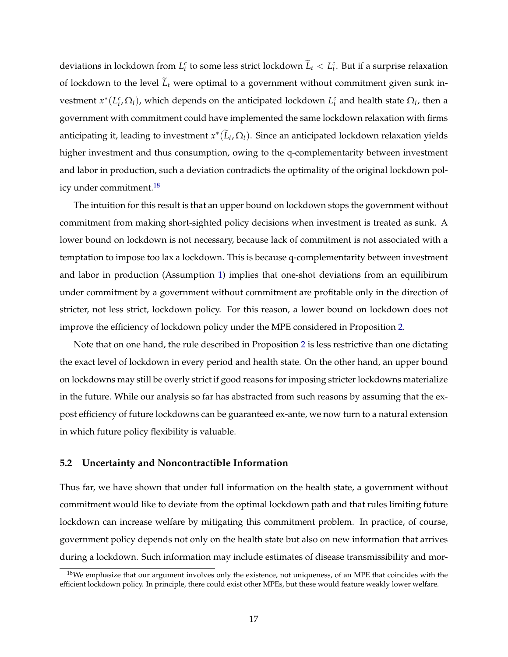deviations in lockdown from  $L_t^c$  to some less strict lockdown  $\widetilde{L}_t < L_t^c$ . But if a surprise relaxation of lockdown to the level  $L_t$  were optimal to a government without commitment given sunk investment  $x^*(L_t^c, \Omega_t)$ , which depends on the anticipated lockdown  $L_t^c$  and health state  $\Omega_t$ , then a government with commitment could have implemented the same lockdown relaxation with firms anticipating it, leading to investment  $x^*(L_t, \Omega_t)$ . Since an anticipated lockdown relaxation yields higher investment and thus consumption, owing to the q-complementarity between investment and labor in production, such a deviation contradicts the optimality of the original lockdown policy under commitment.<sup>18</sup>

The intuition for this result is that an upper bound on lockdown stops the government without commitment from making short-sighted policy decisions when investment is treated as sunk. A lower bound on lockdown is not necessary, because lack of commitment is not associated with a temptation to impose too lax a lockdown. This is because q-complementarity between investment and labor in production (Assumption [1\)](#page-7-0) implies that one-shot deviations from an equilibirum under commitment by a government without commitment are profitable only in the direction of stricter, not less strict, lockdown policy. For this reason, a lower bound on lockdown does not improve the efficiency of lockdown policy under the MPE considered in Proposition [2.](#page-15-1)

Note that on one hand, the rule described in Proposition [2](#page-15-1) is less restrictive than one dictating the exact level of lockdown in every period and health state. On the other hand, an upper bound on lockdowns may still be overly strict if good reasons for imposing stricter lockdowns materialize in the future. While our analysis so far has abstracted from such reasons by assuming that the expost efficiency of future lockdowns can be guaranteed ex-ante, we now turn to a natural extension in which future policy flexibility is valuable.

#### **5.2 Uncertainty and Noncontractible Information**

Thus far, we have shown that under full information on the health state, a government without commitment would like to deviate from the optimal lockdown path and that rules limiting future lockdown can increase welfare by mitigating this commitment problem. In practice, of course, government policy depends not only on the health state but also on new information that arrives during a lockdown. Such information may include estimates of disease transmissibility and mor-

<span id="page-16-0"></span> $18$ We emphasize that our argument involves only the existence, not uniqueness, of an MPE that coincides with the efficient lockdown policy. In principle, there could exist other MPEs, but these would feature weakly lower welfare.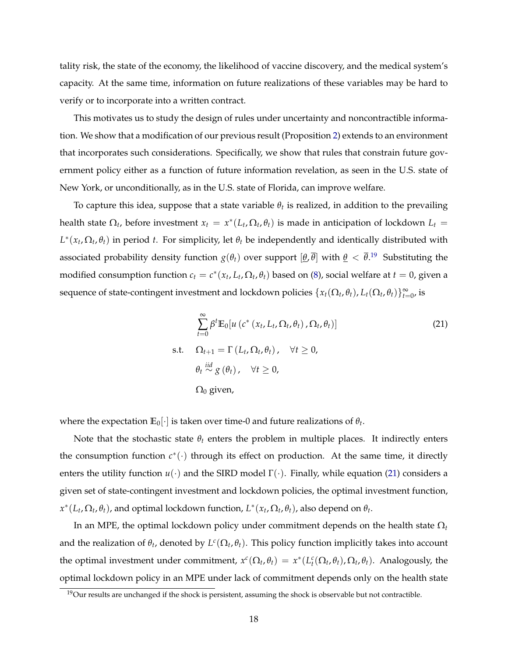tality risk, the state of the economy, the likelihood of vaccine discovery, and the medical system's capacity. At the same time, information on future realizations of these variables may be hard to verify or to incorporate into a written contract.

This motivates us to study the design of rules under uncertainty and noncontractible information. We show that a modification of our previous result (Proposition [2\)](#page-15-1) extends to an environment that incorporates such considerations. Specifically, we show that rules that constrain future government policy either as a function of future information revelation, as seen in the U.S. state of New York, or unconditionally, as in the U.S. state of Florida, can improve welfare.

To capture this idea, suppose that a state variable  $\theta_t$  is realized, in addition to the prevailing health state  $\Omega_t$ , before investment  $x_t = x^*(L_t, \Omega_t, \theta_t)$  is made in anticipation of lockdown  $L_t =$  $L^*(x_t, \Omega_t, \theta_t)$  in period *t*. For simplicity, let  $\theta_t$  be independently and identically distributed with associated probability density function  $g(\theta_t)$  over support  $[\theta,\overline{\theta}]$  with  $\theta<\overline{\theta}.^{19}$  $\theta<\overline{\theta}.^{19}$  $\theta<\overline{\theta}.^{19}$  Substituting the modified consumption function  $c_t = c^*(x_t, L_t, \Omega_t, \theta_t)$  based on [\(8\)](#page-8-3), social welfare at  $t = 0$ , given a sequence of state-contingent investment and lockdown policies  $\{x_t(\Omega_t, \theta_t), L_t(\Omega_t, \theta_t)\}_{t=0}^{\infty}$ , is

<span id="page-17-1"></span>
$$
\sum_{t=0}^{\infty} \beta^t \mathbb{E}_0[u\left(c^*\left(x_t, L_t, \Omega_t, \theta_t\right), \Omega_t, \theta_t\right)]
$$
\ns.t. 
$$
\Omega_{t+1} = \Gamma\left(L_t, \Omega_t, \theta_t\right), \quad \forall t \ge 0,
$$
\n
$$
\theta_t \stackrel{iid}{\sim} g\left(\theta_t\right), \quad \forall t \ge 0,
$$
\n
$$
\Omega_0 \text{ given,}
$$
\n(21)

where the expectation  $\mathbb{E}_0[\cdot]$  is taken over time-0 and future realizations of  $\theta_t$ .

Note that the stochastic state  $\theta_t$  enters the problem in multiple places. It indirectly enters the consumption function  $c^*(\cdot)$  through its effect on production. At the same time, it directly enters the utility function  $u(\cdot)$  and the SIRD model  $\Gamma(\cdot)$ . Finally, while equation [\(21\)](#page-17-1) considers a given set of state-contingent investment and lockdown policies, the optimal investment function,  $x^*(L_t, \Omega_t, \theta_t)$ , and optimal lockdown function,  $L^*(x_t, \Omega_t, \theta_t)$ , also depend on  $\theta_t$ .

In an MPE, the optimal lockdown policy under commitment depends on the health state  $\Omega_t$ and the realization of  $\theta_t$ , denoted by  $L^c(\Omega_t, \theta_t)$ . This policy function implicitly takes into account the optimal investment under commitment,  $x^c(\Omega_t, \theta_t) = x^*(L_t^c(\Omega_t, \theta_t), \Omega_t, \theta_t)$ . Analogously, the optimal lockdown policy in an MPE under lack of commitment depends only on the health state

<span id="page-17-0"></span> $19$ Our results are unchanged if the shock is persistent, assuming the shock is observable but not contractible.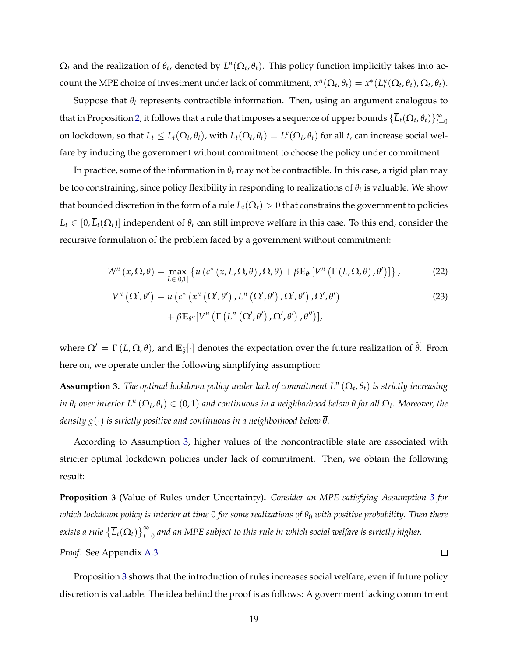$\Omega_t$  and the realization of  $\theta_t$ , denoted by  $L^n(\Omega_t, \theta_t)$ . This policy function implicitly takes into account the MPE choice of investment under lack of commitment,  $x^n(\Omega_t, \theta_t) = x^*(L_t^n(\Omega_t, \theta_t), \Omega_t, \theta_t)$ .

Suppose that  $\theta_t$  represents contractible information. Then, using an argument analogous to that in Proposition [2,](#page-15-1) it follows that a rule that imposes a sequence of upper bounds  $\{\overline{L}_t(\Omega_t,\theta_t)\}_{t=0}^\infty$ on lockdown, so that  $L_t \leq \overline{L}_t(\Omega_t, \theta_t)$ , with  $\overline{L}_t(\Omega_t, \theta_t) = L^c(\Omega_t, \theta_t)$  for all *t*, can increase social welfare by inducing the government without commitment to choose the policy under commitment.

In practice, some of the information in  $\theta_t$  may not be contractible. In this case, a rigid plan may be too constraining, since policy flexibility in responding to realizations of  $\theta_t$  is valuable. We show that bounded discretion in the form of a rule  $\overline{L}_t(\Omega_t) > 0$  that constrains the government to policies  $L_t \in [0, \overline{L}_t(\Omega_t)]$  independent of  $\theta_t$  can still improve welfare in this case. To this end, consider the recursive formulation of the problem faced by a government without commitment:

$$
W^{n}(x,\Omega,\theta) = \max_{L \in [0,1]} \left\{ u\left(c^{*}\left(x,L,\Omega,\theta\right),\Omega,\theta\right) + \beta \mathbb{E}_{\theta'}[V^{n}\left(\Gamma\left(L,\Omega,\theta\right),\theta'\right)] \right\},\tag{22}
$$

$$
V^{n}(\Omega',\theta') = u\left(c^{*}\left(x^{n}\left(\Omega',\theta'\right),L^{n}\left(\Omega',\theta'\right),\Omega',\theta'\right),\Omega',\theta'\right) + \beta \mathbb{E}_{\theta''}[V^{n}\left(\Gamma\left(L^{n}\left(\Omega',\theta'\right),\Omega',\theta'\right),\theta''\right)],
$$
\n(23)

where  $\Omega' = \Gamma(L, \Omega, \theta)$ , and  $\mathbb{E}_{\widetilde{\theta}}[\cdot]$  denotes the expectation over the future realization of  $\theta$ . From here on, we operate under the following simplifying assumption:

<span id="page-18-0"></span>**Assumption 3.** The optimal lockdown policy under lack of commitment  $L^n(\Omega_t, \theta_t)$  is strictly increasing *in*  $\theta_t$  *over interior*  $L^n(\Omega_t, \theta_t) \in (0, 1)$  *and continuous in a neighborhood below*  $\overline{\theta}$  *for all*  $\Omega_t$ *. Moreover, the density*  $g(\cdot)$  *is strictly positive and continuous in a neighborhood below*  $\overline{\theta}$ *.* 

According to Assumption [3,](#page-18-0) higher values of the noncontractible state are associated with stricter optimal lockdown policies under lack of commitment. Then, we obtain the following result:

<span id="page-18-1"></span>**Proposition 3** (Value of Rules under Uncertainty)**.** *Consider an MPE satisfying Assumption [3](#page-18-0) for which lockdown policy is interior at time* 0 *for some realizations of q*<sup>0</sup> *with positive probability. Then there* exists a rule  $\{\overline{L}_t(\Omega_t)\}_{t=0}^\infty$  and an MPE subject to this rule in which social welfare is strictly higher. *Proof.* See Appendix [A.3.](#page-34-0)  $\Box$ 

Proposition [3](#page-18-1) shows that the introduction of rules increases social welfare, even if future policy discretion is valuable. The idea behind the proof is as follows: A government lacking commitment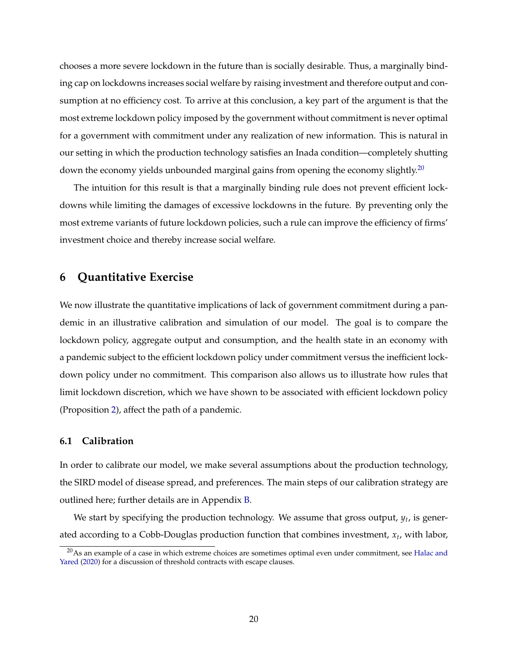chooses a more severe lockdown in the future than is socially desirable. Thus, a marginally binding cap on lockdowns increases social welfare by raising investment and therefore output and consumption at no efficiency cost. To arrive at this conclusion, a key part of the argument is that the most extreme lockdown policy imposed by the government without commitment is never optimal for a government with commitment under any realization of new information. This is natural in our setting in which the production technology satisfies an Inada condition—completely shutting down the economy yields unbounded marginal gains from opening the economy slightly.<sup>20</sup>

The intuition for this result is that a marginally binding rule does not prevent efficient lockdowns while limiting the damages of excessive lockdowns in the future. By preventing only the most extreme variants of future lockdown policies, such a rule can improve the efficiency of firms' investment choice and thereby increase social welfare.

## <span id="page-19-0"></span>**6 Quantitative Exercise**

We now illustrate the quantitative implications of lack of government commitment during a pandemic in an illustrative calibration and simulation of our model. The goal is to compare the lockdown policy, aggregate output and consumption, and the health state in an economy with a pandemic subject to the efficient lockdown policy under commitment versus the inefficient lockdown policy under no commitment. This comparison also allows us to illustrate how rules that limit lockdown discretion, which we have shown to be associated with efficient lockdown policy (Proposition [2\)](#page-15-1), affect the path of a pandemic.

## **6.1 Calibration**

In order to calibrate our model, we make several assumptions about the production technology, the SIRD model of disease spread, and preferences. The main steps of our calibration strategy are outlined here; further details are in Appendix [B.](#page-36-0)

We start by specifying the production technology. We assume that gross output, *yt*, is generated according to a Cobb-Douglas production function that combines investment, *xt*, with labor,

<span id="page-19-1"></span><sup>&</sup>lt;sup>20</sup>As an example of a case in which extreme choices are sometimes optimal even under commitment, see [Halac and](#page-31-11) [Yared](#page-31-11) [\(2020\)](#page-31-11) for a discussion of threshold contracts with escape clauses.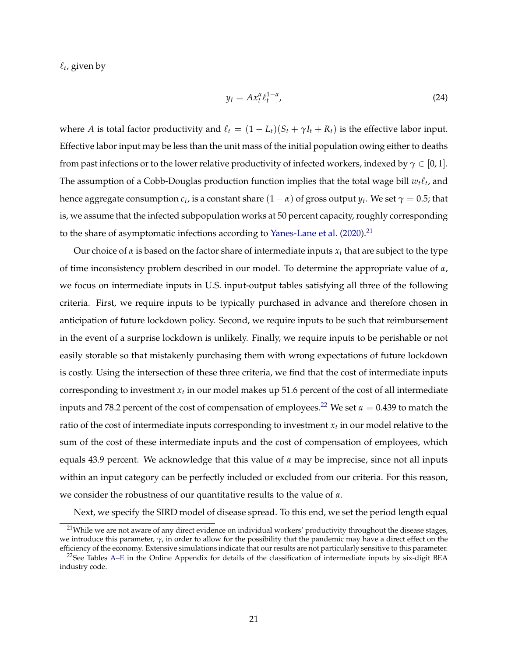$\ell_t$ , given by

$$
y_t = A x_t^{\alpha} \ell_t^{1-\alpha}, \tag{24}
$$

where *A* is total factor productivity and  $\ell_t = (1 - L_t)(S_t + \gamma I_t + R_t)$  is the effective labor input. Effective labor input may be less than the unit mass of the initial population owing either to deaths from past infections or to the lower relative productivity of infected workers, indexed by  $\gamma \in [0, 1]$ . The assumption of a Cobb-Douglas production function implies that the total wage bill  $w_t\ell_t$ , and hence aggregate consumption  $c_t$ , is a constant share  $(1 - \alpha)$  of gross output  $y_t$ . We set  $\gamma = 0.5$ ; that is, we assume that the infected subpopulation works at 50 percent capacity, roughly corresponding to the share of asymptomatic infections according to [Yanes-Lane et al.](#page-31-12)  $(2020)^{21}$  $(2020)^{21}$ 

Our choice of  $\alpha$  is based on the factor share of intermediate inputs  $x_t$  that are subject to the type of time inconsistency problem described in our model. To determine the appropriate value of *a*, we focus on intermediate inputs in U.S. input-output tables satisfying all three of the following criteria. First, we require inputs to be typically purchased in advance and therefore chosen in anticipation of future lockdown policy. Second, we require inputs to be such that reimbursement in the event of a surprise lockdown is unlikely. Finally, we require inputs to be perishable or not easily storable so that mistakenly purchasing them with wrong expectations of future lockdown is costly. Using the intersection of these three criteria, we find that the cost of intermediate inputs corresponding to investment  $x_t$  in our model makes up 51.6 percent of the cost of all intermediate inputs and 78.2 percent of the cost of compensation of employees.<sup>[22](#page-20-1)</sup> We set  $\alpha = 0.439$  to match the ratio of the cost of intermediate inputs corresponding to investment  $x_t$  in our model relative to the sum of the cost of these intermediate inputs and the cost of compensation of employees, which equals 43.9 percent. We acknowledge that this value of  $\alpha$  may be imprecise, since not all inputs within an input category can be perfectly included or excluded from our criteria. For this reason, we consider the robustness of our quantitative results to the value of *a*.

Next, we specify the SIRD model of disease spread. To this end, we set the period length equal

<span id="page-20-0"></span><sup>&</sup>lt;sup>21</sup>While we are not aware of any direct evidence on individual workers' productivity throughout the disease stages, we introduce this parameter,  $\gamma$ , in order to allow for the possibility that the pandemic may have a direct effect on the efficiency of the economy. Extensive simulations indicate that our results are not particularly sensitive to this parameter.

<span id="page-20-1"></span> $^{22}$ See Tables [A–E](#page-0-0) in the Online Appendix for details of the classification of intermediate inputs by six-digit BEA industry code.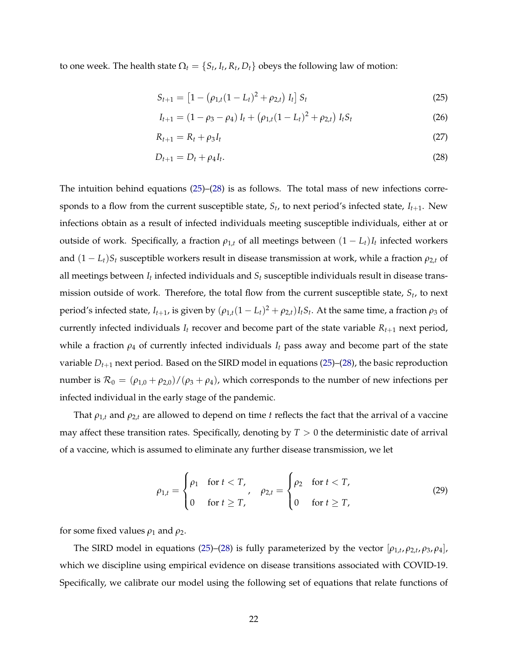to one week. The health state  $\Omega_t = \{S_t, I_t, R_t, D_t\}$  obeys the following law of motion:

<span id="page-21-0"></span>
$$
S_{t+1} = [1 - (\rho_{1,t}(1 - L_t)^2 + \rho_{2,t}) I_t] S_t
$$
\n(25)

<span id="page-21-1"></span>
$$
I_{t+1} = (1 - \rho_3 - \rho_4) I_t + (\rho_{1,t}(1 - L_t)^2 + \rho_{2,t}) I_t S_t
$$
\n(26)

$$
R_{t+1} = R_t + \rho_3 I_t \tag{27}
$$

$$
D_{t+1} = D_t + \rho_4 I_t. \tag{28}
$$

The intuition behind equations [\(25\)](#page-21-0)–[\(28\)](#page-21-1) is as follows. The total mass of new infections corresponds to a flow from the current susceptible state,  $S_t$ , to next period's infected state,  $I_{t+1}$ . New infections obtain as a result of infected individuals meeting susceptible individuals, either at or outside of work. Specifically, a fraction  $\rho_{1,t}$  of all meetings between  $(1 - L_t)I_t$  infected workers and  $(1 - L_t)S_t$  susceptible workers result in disease transmission at work, while a fraction  $\rho_{2,t}$  of all meetings between *It* infected individuals and *St* susceptible individuals result in disease transmission outside of work. Therefore, the total flow from the current susceptible state, *St*, to next period's infected state,  $I_{t+1}$ , is given by  $(\rho_{1,t}(1 - L_t)^2 + \rho_{2,t})I_tS_t$ . At the same time, a fraction  $\rho_3$  of currently infected individuals  $I_t$  recover and become part of the state variable  $R_{t+1}$  next period, while a fraction  $\rho_4$  of currently infected individuals  $I_t$  pass away and become part of the state variable  $D_{t+1}$  next period. Based on the SIRD model in equations [\(25\)](#page-21-0)–[\(28\)](#page-21-1), the basic reproduction number is  $\mathcal{R}_0 = (\rho_{1,0} + \rho_{2,0})/(\rho_3 + \rho_4)$ , which corresponds to the number of new infections per infected individual in the early stage of the pandemic.

That  $\rho_{1,t}$  and  $\rho_{2,t}$  are allowed to depend on time *t* reflects the fact that the arrival of a vaccine may affect these transition rates. Specifically, denoting by  $T > 0$  the deterministic date of arrival of a vaccine, which is assumed to eliminate any further disease transmission, we let

$$
\rho_{1,t} = \begin{cases} \rho_1 & \text{for } t < T, \\ 0 & \text{for } t \geq T, \end{cases} \quad \rho_{2,t} = \begin{cases} \rho_2 & \text{for } t < T, \\ 0 & \text{for } t \geq T, \end{cases} \tag{29}
$$

for some fixed values  $\rho_1$  and  $\rho_2$ .

The SIRD model in equations [\(25\)](#page-21-0)–[\(28\)](#page-21-1) is fully parameterized by the vector  $[\rho_{1,t}, \rho_{2,t}, \rho_3, \rho_4]$ , which we discipline using empirical evidence on disease transitions associated with COVID-19. Specifically, we calibrate our model using the following set of equations that relate functions of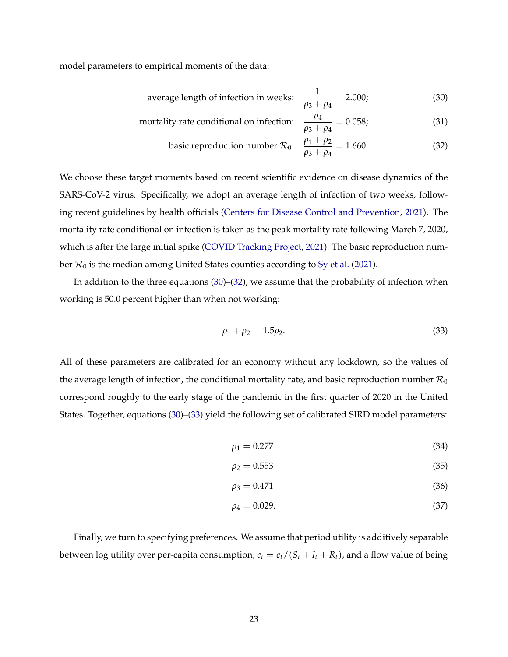model parameters to empirical moments of the data:

average length of infection in weeks: 
$$
\frac{1}{\rho_3 + \rho_4} = 2.000;
$$
 (30)

mortality rate conditional on infection: 
$$
\frac{\rho_4}{\rho_3 + \rho_4} = 0.058;
$$
 (31)

<span id="page-22-1"></span><span id="page-22-0"></span>
$$
\text{basic reproduction number } \mathcal{R}_0: \quad \frac{\rho_1 + \rho_2}{\rho_3 + \rho_4} = 1.660. \tag{32}
$$

We choose these target moments based on recent scientific evidence on disease dynamics of the SARS-CoV-2 virus. Specifically, we adopt an average length of infection of two weeks, following recent guidelines by health officials [\(Centers for Disease Control and Prevention,](#page-30-20) [2021\)](#page-30-20). The mortality rate conditional on infection is taken as the peak mortality rate following March 7, 2020, which is after the large initial spike [\(COVID Tracking Project,](#page-30-21) [2021\)](#page-30-21). The basic reproduction number  $\mathcal{R}_0$  is the median among United States counties according to [Sy et al.](#page-31-13) [\(2021\)](#page-31-13).

In addition to the three equations [\(30\)](#page-22-0)–[\(32\)](#page-22-1), we assume that the probability of infection when working is 50.0 percent higher than when not working:

<span id="page-22-2"></span>
$$
\rho_1 + \rho_2 = 1.5 \rho_2. \tag{33}
$$

All of these parameters are calibrated for an economy without any lockdown, so the values of the average length of infection, the conditional mortality rate, and basic reproduction number  $\mathcal{R}_0$ correspond roughly to the early stage of the pandemic in the first quarter of 2020 in the United States. Together, equations [\(30\)](#page-22-0)–[\(33\)](#page-22-2) yield the following set of calibrated SIRD model parameters:

$$
\rho_1 = 0.277\tag{34}
$$

$$
\rho_2 = 0.553 \tag{35}
$$

$$
\rho_3 = 0.471\tag{36}
$$

$$
\rho_4 = 0.029.\t(37)
$$

Finally, we turn to specifying preferences. We assume that period utility is additively separable between log utility over per-capita consumption,  $\overline{c}_t = c_t/(S_t + I_t + R_t)$ , and a flow value of being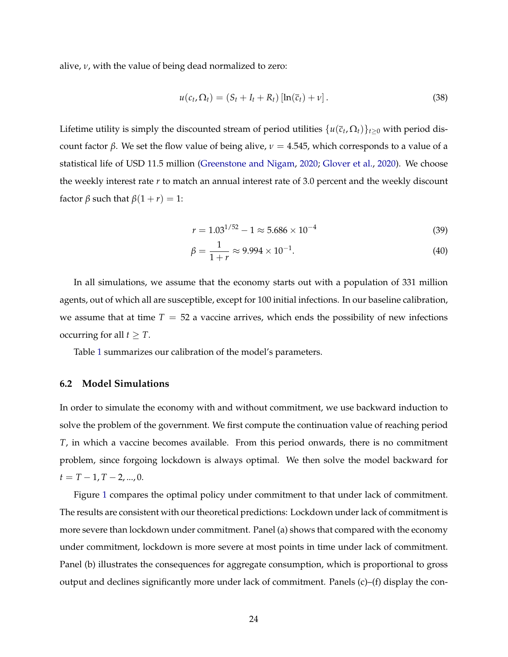alive,  $\nu$ , with the value of being dead normalized to zero:

$$
u(c_t, \Omega_t) = (S_t + I_t + R_t) [\ln(\overline{c}_t) + \nu]. \qquad (38)
$$

Lifetime utility is simply the discounted stream of period utilities  $\{u(\bar{c}_t, \Omega_t)\}_{t>0}$  with period discount factor  $\beta$ . We set the flow value of being alive,  $\nu = 4.545$ , which corresponds to a value of a statistical life of USD 11.5 million [\(Greenstone and Nigam,](#page-31-14) [2020;](#page-31-14) [Glover et al.,](#page-31-15) [2020\)](#page-31-15). We choose the weekly interest rate *r* to match an annual interest rate of 3.0 percent and the weekly discount factor  $\beta$  such that  $\beta(1 + r) = 1$ :

$$
r = 1.03^{1/52} - 1 \approx 5.686 \times 10^{-4}
$$
 (39)

$$
\beta = \frac{1}{1+r} \approx 9.994 \times 10^{-1}.
$$
\n(40)

In all simulations, we assume that the economy starts out with a population of 331 million agents, out of which all are susceptible, except for 100 initial infections. In our baseline calibration, we assume that at time  $T = 52$  a vaccine arrives, which ends the possibility of new infections occurring for all  $t \geq T$ .

Table [1](#page-24-0) summarizes our calibration of the model's parameters.

#### **6.2 Model Simulations**

In order to simulate the economy with and without commitment, we use backward induction to solve the problem of the government. We first compute the continuation value of reaching period *T*, in which a vaccine becomes available. From this period onwards, there is no commitment problem, since forgoing lockdown is always optimal. We then solve the model backward for  $t = T - 1, T - 2, ..., 0.$ 

Figure [1](#page-25-0) compares the optimal policy under commitment to that under lack of commitment. The results are consistent with our theoretical predictions: Lockdown under lack of commitment is more severe than lockdown under commitment. Panel (a) shows that compared with the economy under commitment, lockdown is more severe at most points in time under lack of commitment. Panel (b) illustrates the consequences for aggregate consumption, which is proportional to gross output and declines significantly more under lack of commitment. Panels  $(c)$ – $(f)$  display the con-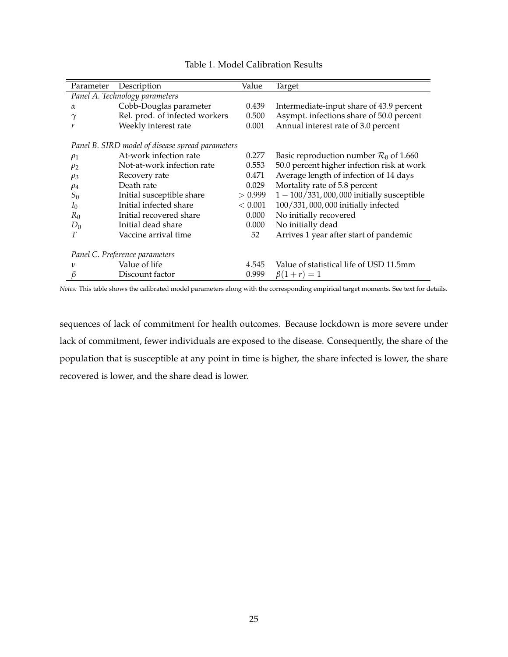<span id="page-24-0"></span>

| Parameter                                        | Description                    | Value   | Target                                             |  |  |  |  |  |
|--------------------------------------------------|--------------------------------|---------|----------------------------------------------------|--|--|--|--|--|
| Panel A. Technology parameters                   |                                |         |                                                    |  |  |  |  |  |
| $\alpha$                                         | Cobb-Douglas parameter         | 0.439   | Intermediate-input share of 43.9 percent           |  |  |  |  |  |
| $\gamma$                                         | Rel. prod. of infected workers | 0.500   | Asympt. infections share of 50.0 percent           |  |  |  |  |  |
| r                                                | Weekly interest rate           | 0.001   | Annual interest rate of 3.0 percent                |  |  |  |  |  |
| Panel B. SIRD model of disease spread parameters |                                |         |                                                    |  |  |  |  |  |
| $\rho_1$                                         | At-work infection rate         | 0.277   | Basic reproduction number $\mathcal{R}_0$ of 1.660 |  |  |  |  |  |
| $\rho_2$                                         | Not-at-work infection rate     | 0.553   | 50.0 percent higher infection risk at work         |  |  |  |  |  |
| $\rho_3$                                         | Recovery rate                  | 0.471   | Average length of infection of 14 days             |  |  |  |  |  |
| $\rho_4$                                         | Death rate                     | 0.029   | Mortality rate of 5.8 percent                      |  |  |  |  |  |
| $S_0$                                            | Initial susceptible share      | > 0.999 | $1 - 100/331,000,000$ initially susceptible        |  |  |  |  |  |
| $I_0$                                            | Initial infected share         | < 0.001 | 100/331,000,000 initially infected                 |  |  |  |  |  |
| $R_0$                                            | Initial recovered share        | 0.000   | No initially recovered                             |  |  |  |  |  |
| $D_0$                                            | Initial dead share             | 0.000   | No initially dead                                  |  |  |  |  |  |
| T                                                | Vaccine arrival time           | 52      | Arrives 1 year after start of pandemic             |  |  |  |  |  |
| Panel C. Preference parameters                   |                                |         |                                                    |  |  |  |  |  |
| 1/                                               | Value of life                  | 4.545   | Value of statistical life of USD 11.5mm            |  |  |  |  |  |
| β                                                | Discount factor                | 0.999   | $\beta(1+r) = 1$                                   |  |  |  |  |  |

## Table 1. Model Calibration Results

*Notes:* This table shows the calibrated model parameters along with the corresponding empirical target moments. See text for details.

sequences of lack of commitment for health outcomes. Because lockdown is more severe under lack of commitment, fewer individuals are exposed to the disease. Consequently, the share of the population that is susceptible at any point in time is higher, the share infected is lower, the share recovered is lower, and the share dead is lower.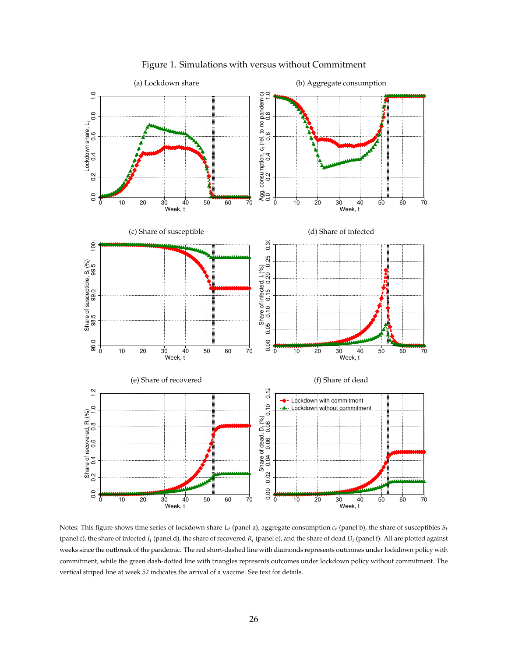<span id="page-25-0"></span>

Figure 1. Simulations with versus without Commitment

Notes: This figure shows time series of lockdown share *Lt* (panel a), aggregate consumption *ct* (panel b), the share of susceptibles *St* (panel c), the share of infected  $I_t$  (panel d), the share of recovered  $R_t$  (panel e), and the share of dead  $D_t$  (panel f). All are plotted against weeks since the outbreak of the pandemic. The red short-dashed line with diamonds represents outcomes under lockdown policy with commitment, while the green dash-dotted line with triangles represents outcomes under lockdown policy without commitment. The vertical striped line at week 52 indicates the arrival of a vaccine. See text for details.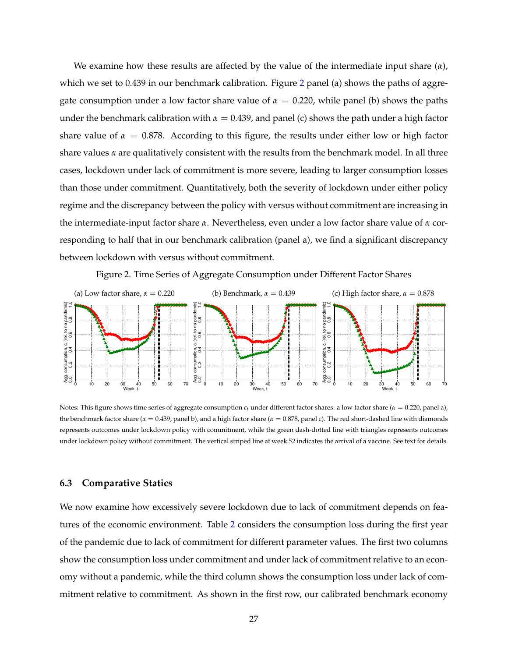We examine how these results are affected by the value of the intermediate input share  $(\alpha)$ , which we set to 0.439 in our benchmark calibration. Figure [2](#page-26-0) panel (a) shows the paths of aggregate consumption under a low factor share value of  $\alpha = 0.220$ , while panel (b) shows the paths under the benchmark calibration with  $\alpha = 0.439$ , and panel (c) shows the path under a high factor share value of  $\alpha = 0.878$ . According to this figure, the results under either low or high factor share values  $\alpha$  are qualitatively consistent with the results from the benchmark model. In all three cases, lockdown under lack of commitment is more severe, leading to larger consumption losses than those under commitment. Quantitatively, both the severity of lockdown under either policy regime and the discrepancy between the policy with versus without commitment are increasing in the intermediate-input factor share *a*. Nevertheless, even under a low factor share value of *a* corresponding to half that in our benchmark calibration (panel a), we find a significant discrepancy between lockdown with versus without commitment.

<span id="page-26-0"></span>

Figure 2. Time Series of Aggregate Consumption under Different Factor Shares

Notes: This figure shows time series of aggregate consumption  $c_t$  under different factor shares: a low factor share ( $\alpha = 0.220$ , panel a), the benchmark factor share ( $\alpha = 0.439$ , panel b), and a high factor share ( $\alpha = 0.878$ , panel c). The red short-dashed line with diamonds represents outcomes under lockdown policy with commitment, while the green dash-dotted line with triangles represents outcomes under lockdown policy without commitment. The vertical striped line at week 52 indicates the arrival of a vaccine. See text for details.

## **6.3 Comparative Statics**

We now examine how excessively severe lockdown due to lack of commitment depends on features of the economic environment. Table [2](#page-28-0) considers the consumption loss during the first year of the pandemic due to lack of commitment for different parameter values. The first two columns show the consumption loss under commitment and under lack of commitment relative to an economy without a pandemic, while the third column shows the consumption loss under lack of commitment relative to commitment. As shown in the first row, our calibrated benchmark economy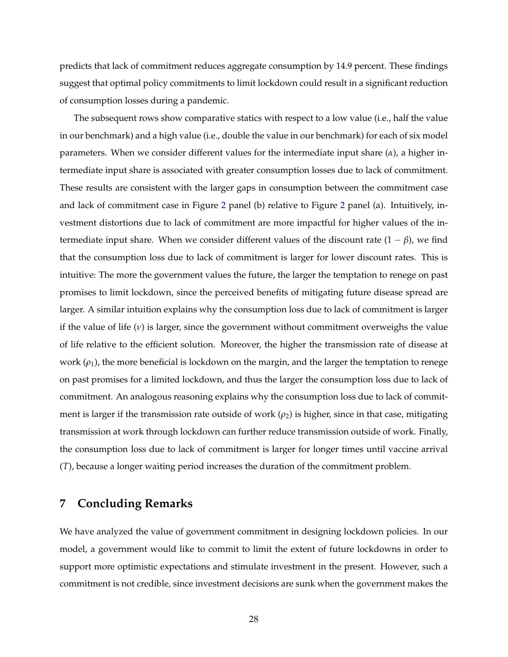predicts that lack of commitment reduces aggregate consumption by 14.9 percent. These findings suggest that optimal policy commitments to limit lockdown could result in a significant reduction of consumption losses during a pandemic.

The subsequent rows show comparative statics with respect to a low value (i.e., half the value in our benchmark) and a high value (i.e., double the value in our benchmark) for each of six model parameters. When we consider different values for the intermediate input share (*a*), a higher intermediate input share is associated with greater consumption losses due to lack of commitment. These results are consistent with the larger gaps in consumption between the commitment case and lack of commitment case in Figure [2](#page-26-0) panel (b) relative to Figure [2](#page-26-0) panel (a). Intuitively, investment distortions due to lack of commitment are more impactful for higher values of the intermediate input share. When we consider different values of the discount rate  $(1 - \beta)$ , we find that the consumption loss due to lack of commitment is larger for lower discount rates. This is intuitive: The more the government values the future, the larger the temptation to renege on past promises to limit lockdown, since the perceived benefits of mitigating future disease spread are larger. A similar intuition explains why the consumption loss due to lack of commitment is larger if the value of life  $(v)$  is larger, since the government without commitment overweighs the value of life relative to the efficient solution. Moreover, the higher the transmission rate of disease at work  $(\rho_1)$ , the more beneficial is lockdown on the margin, and the larger the temptation to renege on past promises for a limited lockdown, and thus the larger the consumption loss due to lack of commitment. An analogous reasoning explains why the consumption loss due to lack of commitment is larger if the transmission rate outside of work  $(\rho_2)$  is higher, since in that case, mitigating transmission at work through lockdown can further reduce transmission outside of work. Finally, the consumption loss due to lack of commitment is larger for longer times until vaccine arrival (*T*), because a longer waiting period increases the duration of the commitment problem.

# **7 Concluding Remarks**

We have analyzed the value of government commitment in designing lockdown policies. In our model, a government would like to commit to limit the extent of future lockdowns in order to support more optimistic expectations and stimulate investment in the present. However, such a commitment is not credible, since investment decisions are sunk when the government makes the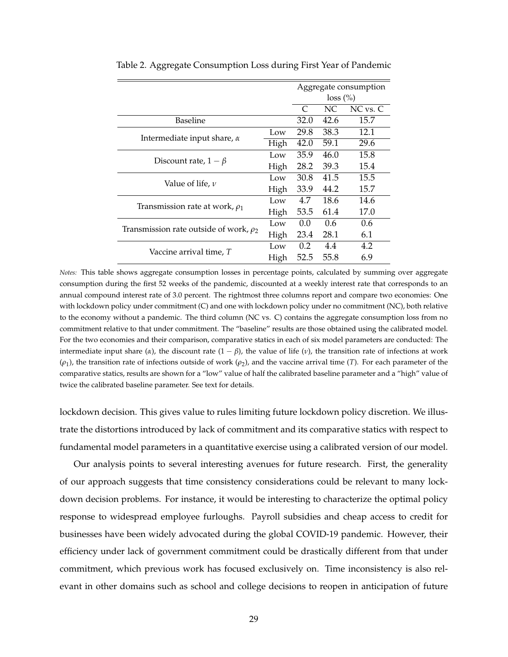|                                             |      |             |      | Aggregate consumption |
|---------------------------------------------|------|-------------|------|-----------------------|
|                                             |      | $loss (\%)$ |      |                       |
|                                             |      | C           | NC   | NC vs. C              |
| <b>Baseline</b>                             |      | 32.0        | 42.6 | 15.7                  |
|                                             | Low  | 29.8        | 38.3 | 12.1                  |
| Intermediate input share, $\alpha$          | High | 42.0        | 59.1 | 29.6                  |
|                                             | Low  | 35.9        | 46.0 | 15.8                  |
| Discount rate, $1 - \beta$                  | High | 28.2        | 39.3 | 15.4                  |
|                                             | Low  | 30.8        | 41.5 | 15.5                  |
| Value of life, $\nu$                        | High | 33.9        | 44.2 | 15.7                  |
|                                             | Low  | 4.7         | 18.6 | 14.6                  |
| Transmission rate at work, $\rho_1$         | High | 53.5        | 61.4 | 17.0                  |
|                                             | Low  | 0.0         | 0.6  | 0.6                   |
| Transmission rate outside of work, $\rho_2$ | High | 23.4        | 28.1 | 6.1                   |
|                                             | Low  | 0.2         | 4.4  | 4.2                   |
| Vaccine arrival time, T                     | High | 52.5        | 55.8 | 6.9                   |

<span id="page-28-0"></span>Table 2. Aggregate Consumption Loss during First Year of Pandemic

*Notes:* This table shows aggregate consumption losses in percentage points, calculated by summing over aggregate consumption during the first 52 weeks of the pandemic, discounted at a weekly interest rate that corresponds to an annual compound interest rate of 3.0 percent. The rightmost three columns report and compare two economies: One with lockdown policy under commitment (C) and one with lockdown policy under no commitment (NC), both relative to the economy without a pandemic. The third column (NC vs. C) contains the aggregate consumption loss from no commitment relative to that under commitment. The "baseline" results are those obtained using the calibrated model. For the two economies and their comparison, comparative statics in each of six model parameters are conducted: The intermediate input share ( $\alpha$ ), the discount rate  $(1 - \beta)$ , the value of life ( $\nu$ ), the transition rate of infections at work  $(\rho_1)$ , the transition rate of infections outside of work  $(\rho_2)$ , and the vaccine arrival time (*T*). For each parameter of the comparative statics, results are shown for a "low" value of half the calibrated baseline parameter and a "high" value of twice the calibrated baseline parameter. See text for details.

lockdown decision. This gives value to rules limiting future lockdown policy discretion. We illustrate the distortions introduced by lack of commitment and its comparative statics with respect to fundamental model parameters in a quantitative exercise using a calibrated version of our model.

Our analysis points to several interesting avenues for future research. First, the generality of our approach suggests that time consistency considerations could be relevant to many lockdown decision problems. For instance, it would be interesting to characterize the optimal policy response to widespread employee furloughs. Payroll subsidies and cheap access to credit for businesses have been widely advocated during the global COVID-19 pandemic. However, their efficiency under lack of government commitment could be drastically different from that under commitment, which previous work has focused exclusively on. Time inconsistency is also relevant in other domains such as school and college decisions to reopen in anticipation of future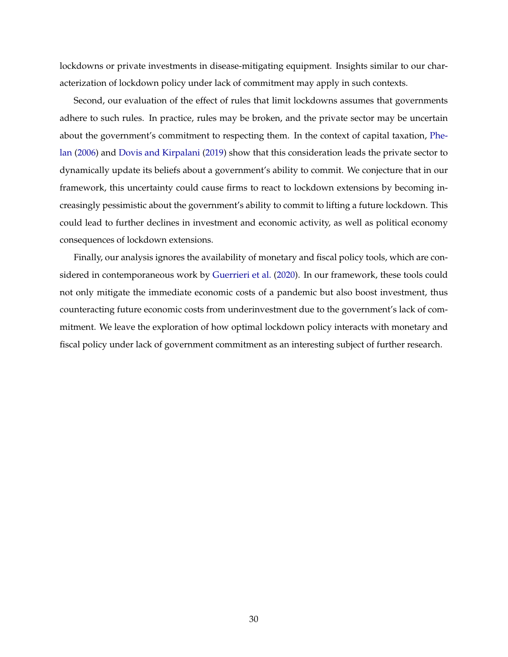lockdowns or private investments in disease-mitigating equipment. Insights similar to our characterization of lockdown policy under lack of commitment may apply in such contexts.

Second, our evaluation of the effect of rules that limit lockdowns assumes that governments adhere to such rules. In practice, rules may be broken, and the private sector may be uncertain about the government's commitment to respecting them. In the context of capital taxation, [Phe](#page-31-16)[lan](#page-31-16) [\(2006\)](#page-31-16) and [Dovis and Kirpalani](#page-30-22) [\(2019\)](#page-30-22) show that this consideration leads the private sector to dynamically update its beliefs about a government's ability to commit. We conjecture that in our framework, this uncertainty could cause firms to react to lockdown extensions by becoming increasingly pessimistic about the government's ability to commit to lifting a future lockdown. This could lead to further declines in investment and economic activity, as well as political economy consequences of lockdown extensions.

Finally, our analysis ignores the availability of monetary and fiscal policy tools, which are considered in contemporaneous work by [Guerrieri et al.](#page-31-17) [\(2020\)](#page-31-17). In our framework, these tools could not only mitigate the immediate economic costs of a pandemic but also boost investment, thus counteracting future economic costs from underinvestment due to the government's lack of commitment. We leave the exploration of how optimal lockdown policy interacts with monetary and fiscal policy under lack of government commitment as an interesting subject of further research.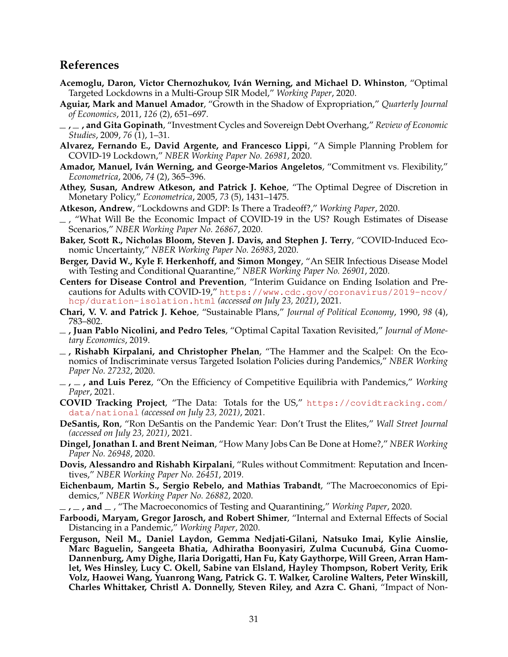# **References**

- <span id="page-30-19"></span>**Acemoglu, Daron, Victor Chernozhukov, Iván Werning, and Michael D. Whinston**, "Optimal Targeted Lockdowns in a Multi-Group SIR Model," *Working Paper*, 2020.
- <span id="page-30-10"></span>**Aguiar, Mark and Manuel Amador**, "Growth in the Shadow of Expropriation," *Quarterly Journal of Economics*, 2011, *126* (2), 651–697.
- <span id="page-30-12"></span>**, , and Gita Gopinath**, "Investment Cycles and Sovereign Debt Overhang," *Review of Economic Studies*, 2009, *76* (1), 1–31.
- <span id="page-30-3"></span>**Alvarez, Fernando E., David Argente, and Francesco Lippi**, "A Simple Planning Problem for COVID-19 Lockdown," *NBER Working Paper No. 26981*, 2020.
- <span id="page-30-16"></span>**Amador, Manuel, Iván Werning, and George-Marios Angeletos**, "Commitment vs. Flexibility," *Econometrica*, 2006, *74* (2), 365–396.
- <span id="page-30-15"></span>**Athey, Susan, Andrew Atkeson, and Patrick J. Kehoe**, "The Optimal Degree of Discretion in Monetary Policy," *Econometrica*, 2005, *73* (5), 1431–1475.
- **Atkeson, Andrew**, "Lockdowns and GDP: Is There a Tradeoff?," *Working Paper*, 2020.
- <span id="page-30-5"></span><span id="page-30-4"></span> $-$ , "What Will Be the Economic Impact of COVID-19 in the US? Rough Estimates of Disease Scenarios," *NBER Working Paper No. 26867*, 2020.
- <span id="page-30-0"></span>**Baker, Scott R., Nicholas Bloom, Steven J. Davis, and Stephen J. Terry**, "COVID-Induced Economic Uncertainty," *NBER Working Paper No. 26983*, 2020.
- <span id="page-30-6"></span>**Berger, David W., Kyle F. Herkenhoff, and Simon Mongey**, "An SEIR Infectious Disease Model with Testing and Conditional Quarantine," *NBER Working Paper No. 26901*, 2020.
- <span id="page-30-20"></span>**Centers for Disease Control and Prevention**, "Interim Guidance on Ending Isolation and Precautions for Adults with COVID-19," [https://www.cdc.gov/coronavirus/2019-ncov/](https://www.cdc.gov/coronavirus/2019-ncov/hcp/duration-isolation.html) [hcp/duration-isolation.html](https://www.cdc.gov/coronavirus/2019-ncov/hcp/duration-isolation.html) *(accessed on July 23, 2021)*, 2021.
- <span id="page-30-11"></span>**Chari, V. V. and Patrick J. Kehoe**, "Sustainable Plans," *Journal of Political Economy*, 1990, *98* (4), 783–802.
- <span id="page-30-13"></span>**, Juan Pablo Nicolini, and Pedro Teles**, "Optimal Capital Taxation Revisited," *Journal of Monetary Economics*, 2019.
- <span id="page-30-7"></span>**, Rishabh Kirpalani, and Christopher Phelan**, "The Hammer and the Scalpel: On the Economics of Indiscriminate versus Targeted Isolation Policies during Pandemics," *NBER Working Paper No. 27232*, 2020.
- <span id="page-30-14"></span>**, , and Luis Perez**, "On the Efficiency of Competitive Equilibria with Pandemics," *Working Paper*, 2021.
- <span id="page-30-21"></span>**COVID Tracking Project**, "The Data: Totals for the US," [https://covidtracking.com/](https://covidtracking.com/data/national) [data/national](https://covidtracking.com/data/national) *(accessed on July 23, 2021)*, 2021.
- <span id="page-30-1"></span>**DeSantis, Ron**, "Ron DeSantis on the Pandemic Year: Don't Trust the Elites," *Wall Street Journal (accessed on July 23, 2021)*, 2021.
- <span id="page-30-17"></span>**Dingel, Jonathan I. and Brent Neiman**, "How Many Jobs Can Be Done at Home?," *NBER Working Paper No. 26948*, 2020.
- <span id="page-30-22"></span>**Dovis, Alessandro and Rishabh Kirpalani**, "Rules without Commitment: Reputation and Incentives," *NBER Working Paper No. 26451*, 2019.
- <span id="page-30-8"></span>**Eichenbaum, Martin S., Sergio Rebelo, and Mathias Trabandt**, "The Macroeconomics of Epidemics," *NBER Working Paper No. 26882*, 2020.
- **, , and** , "The Macroeconomics of Testing and Quarantining," *Working Paper*, 2020.
- <span id="page-30-18"></span><span id="page-30-9"></span>**Farboodi, Maryam, Gregor Jarosch, and Robert Shimer**, "Internal and External Effects of Social Distancing in a Pandemic," *Working Paper*, 2020.
- <span id="page-30-2"></span>**Ferguson, Neil M., Daniel Laydon, Gemma Nedjati-Gilani, Natsuko Imai, Kylie Ainslie, Marc Baguelin, Sangeeta Bhatia, Adhiratha Boonyasiri, Zulma Cucunubá, Gina Cuomo-Dannenburg, Amy Dighe, Ilaria Dorigatti, Han Fu, Katy Gaythorpe, Will Green, Arran Hamlet, Wes Hinsley, Lucy C. Okell, Sabine van Elsland, Hayley Thompson, Robert Verity, Erik Volz, Haowei Wang, Yuanrong Wang, Patrick G. T. Walker, Caroline Walters, Peter Winskill, Charles Whittaker, Christl A. Donnelly, Steven Riley, and Azra C. Ghani**, "Impact of Non-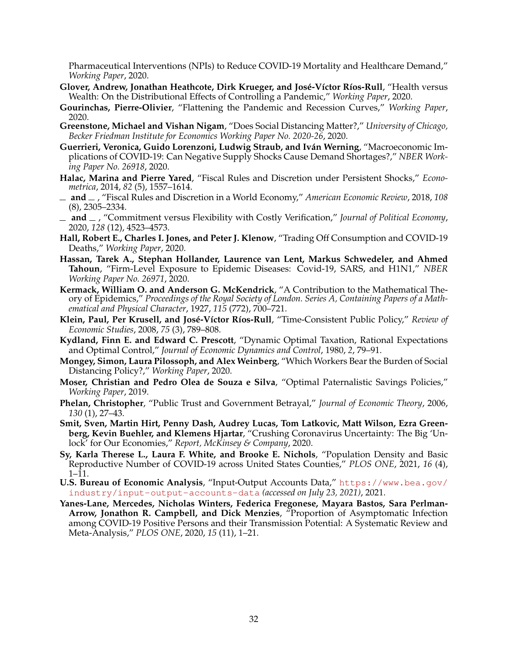Pharmaceutical Interventions (NPIs) to Reduce COVID-19 Mortality and Healthcare Demand," *Working Paper*, 2020.

- <span id="page-31-15"></span>**Glover, Andrew, Jonathan Heathcote, Dirk Krueger, and José-Víctor Ríos-Rull**, "Health versus Wealth: On the Distributional Effects of Controlling a Pandemic," *Working Paper*, 2020.
- <span id="page-31-9"></span>**Gourinchas, Pierre-Olivier**, "Flattening the Pandemic and Recession Curves," *Working Paper*, 2020.
- <span id="page-31-14"></span>**Greenstone, Michael and Vishan Nigam**, "Does Social Distancing Matter?," *University of Chicago, Becker Friedman Institute for Economics Working Paper No. 2020-26*, 2020.
- <span id="page-31-17"></span>**Guerrieri, Veronica, Guido Lorenzoni, Ludwig Straub, and Iván Werning**, "Macroeconomic Implications of COVID-19: Can Negative Supply Shocks Cause Demand Shortages?," *NBER Working Paper No. 26918*, 2020.
- <span id="page-31-5"></span>**Halac, Marina and Pierre Yared**, "Fiscal Rules and Discretion under Persistent Shocks," *Econometrica*, 2014, *82* (5), 1557–1614.
- <span id="page-31-6"></span>**and** , "Fiscal Rules and Discretion in a World Economy," *American Economic Review*, 2018, *108* (8), 2305–2334.
- <span id="page-31-11"></span>**and** , "Commitment versus Flexibility with Costly Verification," *Journal of Political Economy*, 2020, *128* (12), 4523–4573.
- <span id="page-31-10"></span>**Hall, Robert E., Charles I. Jones, and Peter J. Klenow**, "Trading Off Consumption and COVID-19 Deaths," *Working Paper*, 2020.
- <span id="page-31-0"></span>**Hassan, Tarek A., Stephan Hollander, Laurence van Lent, Markus Schwedeler, and Ahmed Tahoun**, "Firm-Level Exposure to Epidemic Diseases: Covid-19, SARS, and H1N1," *NBER Working Paper No. 26971*, 2020.
- <span id="page-31-2"></span>**Kermack, William O. and Anderson G. McKendrick**, "A Contribution to the Mathematical Theory of Epidemics," *Proceedings of the Royal Society of London. Series A, Containing Papers of a Mathematical and Physical Character*, 1927, *115* (772), 700–721.
- <span id="page-31-4"></span>**Klein, Paul, Per Krusell, and José-Víctor Ríos-Rull**, "Time-Consistent Public Policy," *Review of Economic Studies*, 2008, *75* (3), 789–808.
- <span id="page-31-3"></span>**Kydland, Finn E. and Edward C. Prescott**, "Dynamic Optimal Taxation, Rational Expectations and Optimal Control," *Journal of Economic Dynamics and Control*, 1980, *2*, 79–91.
- <span id="page-31-8"></span>**Mongey, Simon, Laura Pilossoph, and Alex Weinberg**, "Which Workers Bear the Burden of Social Distancing Policy?," *Working Paper*, 2020.
- <span id="page-31-7"></span>**Moser, Christian and Pedro Olea de Souza e Silva**, "Optimal Paternalistic Savings Policies," *Working Paper*, 2019.
- <span id="page-31-16"></span>**Phelan, Christopher**, "Public Trust and Government Betrayal," *Journal of Economic Theory*, 2006, *130* (1), 27–43.
- <span id="page-31-1"></span>**Smit, Sven, Martin Hirt, Penny Dash, Audrey Lucas, Tom Latkovic, Matt Wilson, Ezra Greenberg, Kevin Buehler, and Klemens Hjartar**, "Crushing Coronavirus Uncertainty: The Big 'Unlock' for Our Economies," *Report, McKinsey & Company*, 2020.
- <span id="page-31-13"></span>**Sy, Karla Therese L., Laura F. White, and Brooke E. Nichols**, "Population Density and Basic Reproductive Number of COVID-19 across United States Counties," *PLOS ONE*, 2021, *16* (4), 1–11.
- **U.S. Bureau of Economic Analysis**, "Input-Output Accounts Data," [https://www.bea.gov/](https://www.bea.gov/industry/input-output-accounts-data) [industry/input-output-accounts-data](https://www.bea.gov/industry/input-output-accounts-data) *(accessed on July 23, 2021)*, 2021.
- <span id="page-31-12"></span>**Yanes-Lane, Mercedes, Nicholas Winters, Federica Fregonese, Mayara Bastos, Sara Perlman-Arrow, Jonathon R. Campbell, and Dick Menzies**, "Proportion of Asymptomatic Infection among COVID-19 Positive Persons and their Transmission Potential: A Systematic Review and Meta-Analysis," *PLOS ONE*, 2020, *15* (11), 1–21.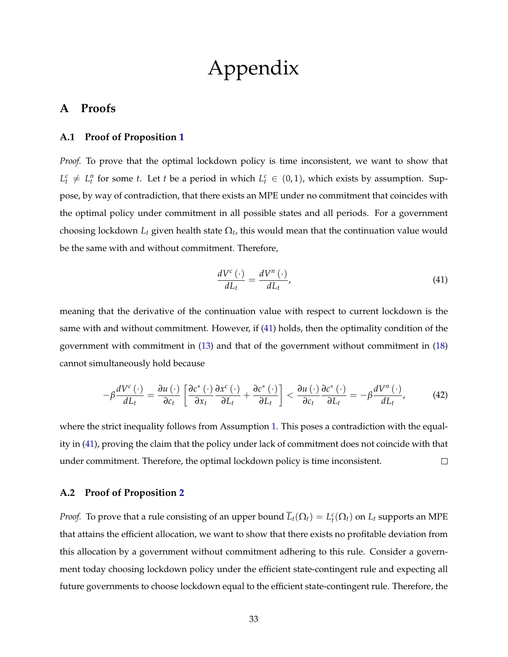# Appendix

## **A Proofs**

#### <span id="page-32-0"></span>**A.1 Proof of Proposition [1](#page-13-2)**

*Proof.* To prove that the optimal lockdown policy is time inconsistent, we want to show that  $L_t^c \neq L_t^n$  for some *t*. Let *t* be a period in which  $L_t^c \in (0, 1)$ , which exists by assumption. Suppose, by way of contradiction, that there exists an MPE under no commitment that coincides with the optimal policy under commitment in all possible states and all periods. For a government choosing lockdown  $L_t$  given health state  $\Omega_t$ , this would mean that the continuation value would be the same with and without commitment. Therefore,

<span id="page-32-2"></span>
$$
\frac{dV^{c}\left(\cdot\right)}{dL_{t}} = \frac{dV^{n}\left(\cdot\right)}{dL_{t}},\tag{41}
$$

meaning that the derivative of the continuation value with respect to current lockdown is the same with and without commitment. However, if [\(41\)](#page-32-2) holds, then the optimality condition of the government with commitment in [\(13\)](#page-11-0) and that of the government without commitment in [\(18\)](#page-12-0) cannot simultaneously hold because

$$
-\beta \frac{dV^{c}(\cdot)}{dL_{t}} = \frac{\partial u(\cdot)}{\partial c_{t}} \left[ \frac{\partial c^{*}(\cdot)}{\partial x_{t}} \frac{\partial x^{c}(\cdot)}{\partial L_{t}} + \frac{\partial c^{*}(\cdot)}{\partial L_{t}} \right] < \frac{\partial u(\cdot)}{\partial c_{t}} \frac{\partial c^{*}(\cdot)}{\partial L_{t}} = -\beta \frac{dV^{n}(\cdot)}{dL_{t}}, \quad (42)
$$

where the strict inequality follows from Assumption [1.](#page-7-0) This poses a contradiction with the equality in [\(41\)](#page-32-2), proving the claim that the policy under lack of commitment does not coincide with that under commitment. Therefore, the optimal lockdown policy is time inconsistent.  $\Box$ 

## <span id="page-32-1"></span>**A.2 Proof of Proposition [2](#page-15-1)**

*Proof.* To prove that a rule consisting of an upper bound  $\overline{L}_t(\Omega_t) = L_t^c(\Omega_t)$  on  $L_t$  supports an MPE that attains the efficient allocation, we want to show that there exists no profitable deviation from this allocation by a government without commitment adhering to this rule. Consider a government today choosing lockdown policy under the efficient state-contingent rule and expecting all future governments to choose lockdown equal to the efficient state-contingent rule. Therefore, the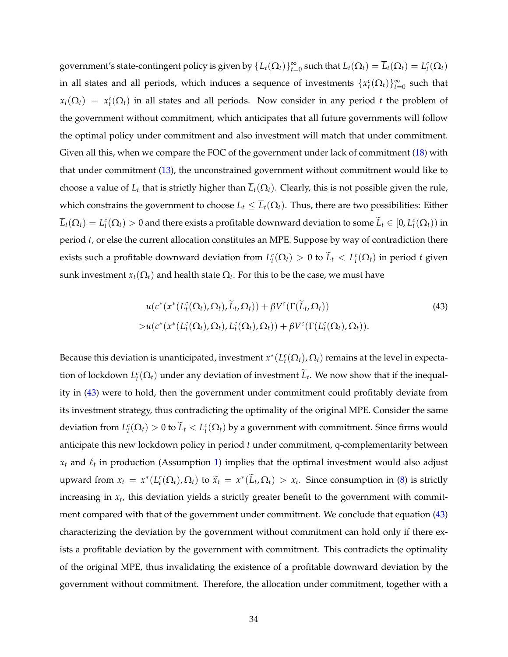government's state-contingent policy is given by  $\{L_t(\Omega_t)\}_{t=0}^{\infty}$  such that  $L_t(\Omega_t) = \overline{L}_t(\Omega_t) = L_t^c(\Omega_t)$ in all states and all periods, which induces a sequence of investments  $\{x_t^c(\Omega_t)\}_{t=0}^{\infty}$  such that  $x_t(\Omega_t) = x_t^c(\Omega_t)$  in all states and all periods. Now consider in any period *t* the problem of the government without commitment, which anticipates that all future governments will follow the optimal policy under commitment and also investment will match that under commitment. Given all this, when we compare the FOC of the government under lack of commitment [\(18\)](#page-12-0) with that under commitment [\(13\)](#page-11-0), the unconstrained government without commitment would like to choose a value of  $L_t$  that is strictly higher than  $\overline{L}_t(\Omega_t)$ . Clearly, this is not possible given the rule, which constrains the government to choose  $L_t \leq \overline{L}_t(\Omega_t)$ . Thus, there are two possibilities: Either  $\overline{L}_t(\Omega_t)=L_t^c(\Omega_t)>0$  and there exists a profitable downward deviation to some  $\widetilde{L}_t\in[0,L_t^c(\Omega_t))$  in period *t*, or else the current allocation constitutes an MPE. Suppose by way of contradiction there exists such a profitable downward deviation from  $L_t^c(\Omega_t) > 0$  to  $\widetilde{L}_t < L_t^c(\Omega_t)$  in period *t* given sunk investment  $x_t(\Omega_t)$  and health state  $\Omega_t$ . For this to be the case, we must have

<span id="page-33-0"></span>
$$
u(c^*(x^*(L_t^c(\Omega_t), \Omega_t), \widetilde{L}_t, \Omega_t)) + \beta V^c(\Gamma(\widetilde{L}_t, \Omega_t))
$$
  
> 
$$
u(c^*(x^*(L_t^c(\Omega_t), \Omega_t), L_t^c(\Omega_t), \Omega_t)) + \beta V^c(\Gamma(L_t^c(\Omega_t), \Omega_t)).
$$
 (43)

Because this deviation is unanticipated, investment  $x^*(L^c_t(\Omega_t), \Omega_t)$  remains at the level in expectation of lockdown  $L_t^c(\Omega_t)$  under any deviation of investment  $\tilde{L}_t$ . We now show that if the inequality in [\(43\)](#page-33-0) were to hold, then the government under commitment could profitably deviate from its investment strategy, thus contradicting the optimality of the original MPE. Consider the same deviation from  $L_t^c(\Omega_t) > 0$  to  $\tilde{L}_t < L_t^c(\Omega_t)$  by a government with commitment. Since firms would anticipate this new lockdown policy in period *t* under commitment, q-complementarity between  $x_t$  and  $\ell_t$  in production (Assumption [1\)](#page-7-0) implies that the optimal investment would also adjust upward from  $x_t = x^*(L_t^c(\Omega_t), \Omega_t)$  to  $\widetilde{x}_t = x^*(\widetilde{L}_t, \Omega_t) > x_t$ . Since consumption in [\(8\)](#page-8-3) is strictly increasing in *xt*, this deviation yields a strictly greater benefit to the government with commitment compared with that of the government under commitment. We conclude that equation [\(43\)](#page-33-0) characterizing the deviation by the government without commitment can hold only if there exists a profitable deviation by the government with commitment. This contradicts the optimality of the original MPE, thus invalidating the existence of a profitable downward deviation by the government without commitment. Therefore, the allocation under commitment, together with a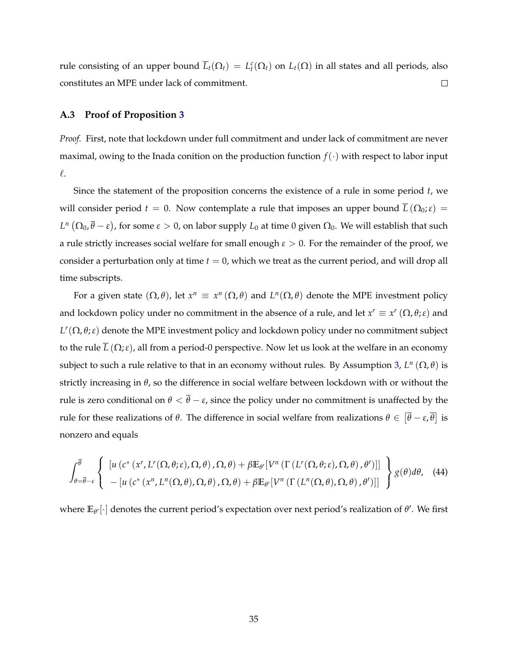rule consisting of an upper bound  $\overline{L}_t(\Omega_t) = L_t^c(\Omega_t)$  on  $L_t(\Omega)$  in all states and all periods, also constitutes an MPE under lack of commitment.  $\Box$ 

#### <span id="page-34-0"></span>**A.3 Proof of Proposition [3](#page-18-1)**

*Proof.* First, note that lockdown under full commitment and under lack of commitment are never maximal, owing to the Inada conition on the production function  $f(\cdot)$  with respect to labor input  $\ell$ .

Since the statement of the proposition concerns the existence of a rule in some period *t*, we will consider period  $t = 0$ . Now contemplate a rule that imposes an upper bound  $\overline{L}(\Omega_0; \varepsilon) =$  $L^n(\Omega_0, \overline{\theta} - \varepsilon)$ , for some  $\varepsilon > 0$ , on labor supply  $L_0$  at time 0 given  $\Omega_0$ . We will establish that such a rule strictly increases social welfare for small enough  $\epsilon > 0$ . For the remainder of the proof, we consider a perturbation only at time *t* = 0, which we treat as the current period, and will drop all time subscripts.

For a given state  $(\Omega, \theta)$ , let  $x^n \equiv x^n (\Omega, \theta)$  and  $L^n(\Omega, \theta)$  denote the MPE investment policy and lockdown policy under no commitment in the absence of a rule, and let  $x^r \equiv x^r (\Omega, \theta; \varepsilon)$  and  $L^r(\Omega,\theta;\varepsilon)$  denote the MPE investment policy and lockdown policy under no commitment subject to the rule  $\overline{L}(\Omega;\varepsilon)$ , all from a period-0 perspective. Now let us look at the welfare in an economy subject to such a rule relative to that in an economy without rules. By Assumption [3,](#page-18-0)  $L^n(\Omega, \theta)$  is strictly increasing in  $\theta$ , so the difference in social welfare between lockdown with or without the rule is zero conditional on  $\theta < \overline{\theta} - \varepsilon$ , since the policy under no commitment is unaffected by the rule for these realizations of  $\theta$ . The difference in social welfare from realizations  $\theta \in [\overline{\theta} - \varepsilon, \overline{\theta}]$  is nonzero and equals

<span id="page-34-1"></span>
$$
\int_{\theta=\overline{\theta}-\varepsilon}^{\overline{\theta}} \left\{\n\begin{array}{l}\n[u(c^*(x^r,L^r(\Omega,\theta;\varepsilon),\Omega,\theta),\Omega,\theta) + \beta \mathbb{E}_{\theta'}[V^n(\Gamma(L^r(\Omega,\theta;\varepsilon),\Omega,\theta),\theta')] \\
-\left[u(c^*(x^n,L^n(\Omega,\theta),\Omega,\theta),\Omega,\theta) + \beta \mathbb{E}_{\theta'}[V^n(\Gamma(L^n(\Omega,\theta),\Omega,\theta),\theta')] \right]\n\end{array}\n\right\} g(\theta) d\theta,\n\tag{44}
$$

where  $\mathbb{E}_{\theta'}[\cdot]$  denotes the current period's expectation over next period's realization of  $\theta'.$  We first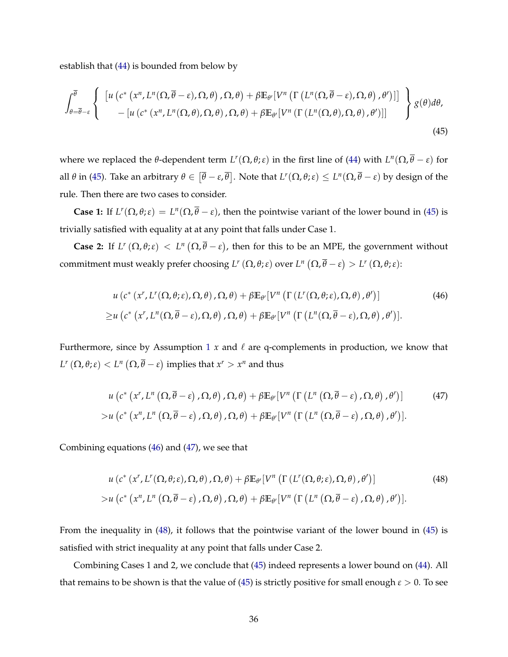establish that [\(44\)](#page-34-1) is bounded from below by

<span id="page-35-0"></span>
$$
\int_{\theta=\overline{\theta}-\varepsilon}^{\overline{\theta}}\left\{\begin{array}{l}\left[u\left(c^*\left(x^n,L^n(\Omega,\overline{\theta}-\varepsilon),\Omega,\theta\right),\Omega,\theta\right)+\beta\mathbb{E}_{\theta'}[V^n\left(\Gamma\left(L^n(\Omega,\overline{\theta}-\varepsilon),\Omega,\theta\right),\theta'\right)]\right] \\ -\left[u\left(c^*\left(x^n,L^n(\Omega,\theta),\Omega,\theta\right),\Omega,\theta\right)+\beta\mathbb{E}_{\theta'}[V^n\left(\Gamma\left(L^n(\Omega,\theta),\Omega,\theta\right),\theta'\right)]\right]\end{array}\right\}g(\theta)d\theta,\tag{45}
$$

where we replaced the  $\theta$ -dependent term  $L^r(\Omega, \theta; \varepsilon)$  in the first line of [\(44\)](#page-34-1) with  $L^n(\Omega, \overline{\theta} - \varepsilon)$  for all  $\theta$  in [\(45\)](#page-35-0). Take an arbitrary  $\theta \in [\overline{\theta} - \varepsilon, \overline{\theta}]$ . Note that  $L^r(\Omega, \theta; \varepsilon) \le L^n(\Omega, \overline{\theta} - \varepsilon)$  by design of the rule. Then there are two cases to consider.

**Case 1:** If  $L^r(\Omega, \theta; \varepsilon) = L^n(\Omega, \overline{\theta} - \varepsilon)$ , then the pointwise variant of the lower bound in [\(45\)](#page-35-0) is trivially satisfied with equality at at any point that falls under Case 1.

**Case 2:** If  $L^r(\Omega, \theta; \varepsilon) < L^n(\Omega, \overline{\theta} - \varepsilon)$ , then for this to be an MPE, the government without commitment must weakly prefer choosing  $L^r(\Omega, \theta; \varepsilon)$  over  $L^n(\Omega, \overline{\theta} - \varepsilon) > L^r(\Omega, \theta; \varepsilon)$ :

<span id="page-35-1"></span>
$$
u\left(c^*\left(x^r,L^r(\Omega,\theta;\varepsilon),\Omega,\theta\right),\Omega,\theta\right)+\beta\mathbb{E}_{\theta'}\left[V^n\left(\Gamma\left(L^r(\Omega,\theta;\varepsilon),\Omega,\theta\right),\theta'\right)\right]
$$
\n
$$
\geq u\left(c^*\left(x^r,L^n(\Omega,\overline{\theta}-\varepsilon),\Omega,\theta\right),\Omega,\theta\right)+\beta\mathbb{E}_{\theta'}\left[V^n\left(\Gamma\left(L^n(\Omega,\overline{\theta}-\varepsilon),\Omega,\theta\right),\theta'\right)\right].
$$
\n(46)

Furthermore, since by Assumption [1](#page-7-0)  $x$  and  $\ell$  are q-complements in production, we know that  $L^r\left(\Omega, \theta; \varepsilon\right) < L^n\left(\Omega, \overline{\theta} - \varepsilon\right)$  implies that  $x^r > x^n$  and thus

<span id="page-35-2"></span>
$$
u\left(c^*\left(x^r,L^n\left(\Omega,\overline{\theta}-\varepsilon\right),\Omega,\theta\right),\Omega,\theta\right)+\beta\mathbb{E}_{\theta'}[V^n\left(\Gamma\left(L^n\left(\Omega,\overline{\theta}-\varepsilon\right),\Omega,\theta\right),\theta'\right)]\tag{47}
$$
  

$$
>u\left(c^*\left(x^n,L^n\left(\Omega,\overline{\theta}-\varepsilon\right),\Omega,\theta\right),\Omega,\theta\right)+\beta\mathbb{E}_{\theta'}[V^n\left(\Gamma\left(L^n\left(\Omega,\overline{\theta}-\varepsilon\right),\Omega,\theta\right),\theta'\right)].
$$

Combining equations [\(46\)](#page-35-1) and [\(47\)](#page-35-2), we see that

<span id="page-35-3"></span>
$$
u\left(c^*\left(x^r,L^r(\Omega,\theta;\varepsilon),\Omega,\theta\right),\Omega,\theta\right)+\beta\mathbb{E}_{\theta'}\left[V^n\left(\Gamma\left(L^r(\Omega,\theta;\varepsilon),\Omega,\theta\right),\theta'\right)\right]
$$
\n
$$
>u\left(c^*\left(x^n,L^n\left(\Omega,\overline{\theta}-\varepsilon\right),\Omega,\theta\right),\Omega,\theta\right)+\beta\mathbb{E}_{\theta'}\left[V^n\left(\Gamma\left(L^n\left(\Omega,\overline{\theta}-\varepsilon\right),\Omega,\theta\right),\theta'\right)\right].
$$
\n(48)

From the inequality in [\(48\)](#page-35-3), it follows that the pointwise variant of the lower bound in [\(45\)](#page-35-0) is satisfied with strict inequality at any point that falls under Case 2.

Combining Cases 1 and 2, we conclude that [\(45\)](#page-35-0) indeed represents a lower bound on [\(44\)](#page-34-1). All that remains to be shown is that the value of [\(45\)](#page-35-0) is strictly positive for small enough  $\epsilon > 0$ . To see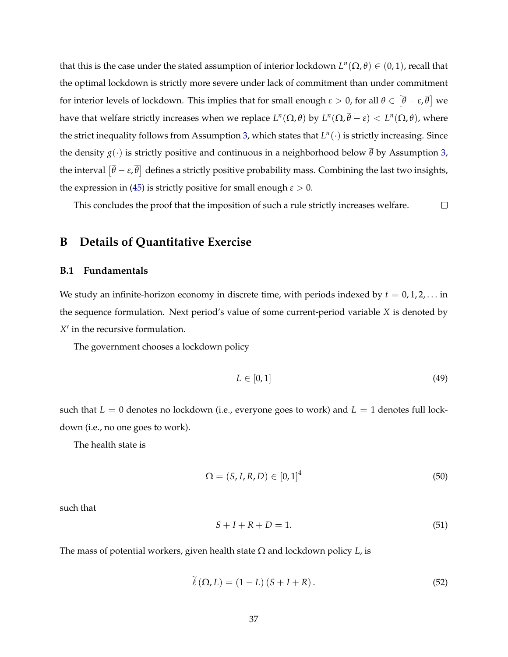that this is the case under the stated assumption of interior lockdown  $L^n(\Omega, \theta) \in (0, 1)$ , recall that the optimal lockdown is strictly more severe under lack of commitment than under commitment for interior levels of lockdown. This implies that for small enough  $\epsilon > 0$ , for all  $\theta \in [\bar{\theta} - \epsilon, \bar{\theta}]$  we have that welfare strictly increases when we replace  $L^n(\Omega, \theta)$  by  $L^n(\Omega, \overline{\theta} - \varepsilon) < L^n(\Omega, \theta)$ , where the strict inequality follows from Assumption [3,](#page-18-0) which states that *<sup>L</sup>n*(*·*) is strictly increasing. Since the density  $g(\cdot)$  is strictly positive and continuous in a neighborhood below  $\overline{\theta}$  by Assumption [3,](#page-18-0) the interval  $[\overline{\theta}-\varepsilon,\overline{\theta}]$  defines a strictly positive probability mass. Combining the last two insights, the expression in [\(45\)](#page-35-0) is strictly positive for small enough  $\epsilon > 0$ .

This concludes the proof that the imposition of such a rule strictly increases welfare.  $\Box$ 

## <span id="page-36-0"></span>**B Details of Quantitative Exercise**

## **B.1 Fundamentals**

We study an infinite-horizon economy in discrete time, with periods indexed by  $t = 0, 1, 2, \ldots$  in the sequence formulation. Next period's value of some current-period variable *X* is denoted by  $X'$  in the recursive formulation.

The government chooses a lockdown policy

$$
L \in [0, 1] \tag{49}
$$

such that  $L = 0$  denotes no lockdown (i.e., everyone goes to work) and  $L = 1$  denotes full lockdown (i.e., no one goes to work).

The health state is

$$
\Omega = (S, I, R, D) \in [0, 1]^4
$$
\n(50)

such that

<span id="page-36-1"></span>
$$
S + I + R + D = 1.\tag{51}
$$

The mass of potential workers, given health state  $\Omega$  and lockdown policy *L*, is

$$
\tilde{\ell}(\Omega, L) = (1 - L)(S + I + R). \tag{52}
$$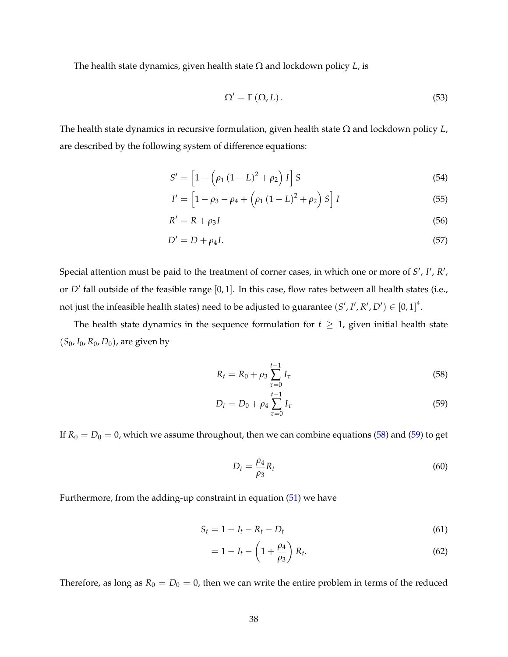The health state dynamics, given health state  $\Omega$  and lockdown policy *L*, is

$$
\Omega' = \Gamma(\Omega, L). \tag{53}
$$

The health state dynamics in recursive formulation, given health state  $\Omega$  and lockdown policy  $L$ , are described by the following system of difference equations:

$$
S' = \left[1 - \left(\rho_1 (1 - L)^2 + \rho_2\right) I\right] S \tag{54}
$$

$$
I' = \left[1 - \rho_3 - \rho_4 + \left(\rho_1\left(1 - L\right)^2 + \rho_2\right)S\right]I
$$
\n(55)

$$
R' = R + \rho_3 I \tag{56}
$$

$$
D' = D + \rho_4 I. \tag{57}
$$

Special attention must be paid to the treatment of corner cases, in which one or more of *S'* , *I'* , *R'* , or  $D'$  fall outside of the feasible range  $[0, 1]$ . In this case, flow rates between all health states (i.e., not just the infeasible health states) need to be adjusted to guarantee  $(S', I', R', D') \in [0, 1]^4$ .

The health state dynamics in the sequence formulation for  $t \geq 1$ , given initial health state (*S*0, *I*0, *R*0, *D*0), are given by

<span id="page-37-0"></span>
$$
R_t = R_0 + \rho_3 \sum_{\tau=0}^{t-1} I_{\tau}
$$
\n(58)

$$
D_t = D_0 + \rho_4 \sum_{\tau=0}^{t-1} I_{\tau}
$$
\n(59)

If  $R_0 = D_0 = 0$ , which we assume throughout, then we can combine equations [\(58\)](#page-37-0) and [\(59\)](#page-37-1) to get

<span id="page-37-1"></span>
$$
D_t = \frac{\rho_4}{\rho_3} R_t \tag{60}
$$

Furthermore, from the adding-up constraint in equation [\(51\)](#page-36-1) we have

$$
S_t = 1 - I_t - R_t - D_t \tag{61}
$$

$$
=1-I_t-\left(1+\frac{\rho_4}{\rho_3}\right)R_t.
$$
\n(62)

Therefore, as long as  $R_0 = D_0 = 0$ , then we can write the entire problem in terms of the reduced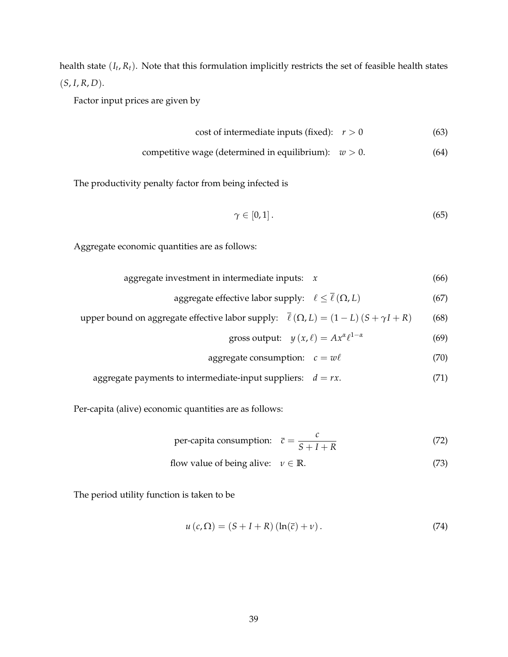health state (*It*, *Rt*). Note that this formulation implicitly restricts the set of feasible health states  $(S, I, R, D).$ 

Factor input prices are given by

cost of intermediate inputs (fixed): 
$$
r > 0
$$
 (63)

$$
competitive wage (determined in equilibrium): w > 0. \tag{64}
$$

The productivity penalty factor from being infected is

$$
\gamma \in [0,1]. \tag{65}
$$

Aggregate economic quantities are as follows:

| aggregate investment in intermediate inputs: |  | (66) |
|----------------------------------------------|--|------|
|----------------------------------------------|--|------|

aggregate effective labor supply:  $\ell \leq \bar{\ell} (\Omega, L)$  (67)

upper bound on aggregate effective labor supply:  $\overline{\ell}(\Omega, L) = (1 - L) (S + \gamma I + R)$  (68)

gross output: 
$$
y(x, \ell) = Ax^{\alpha} \ell^{1-\alpha}
$$
 (69)

$$
aggregate consumption: c = w\ell \tag{70}
$$

aggregate payments to intermediate-input suppliers:  $d = rx$ . (71)

Per-capita (alive) economic quantities are as follows:

per-capita consumption: 
$$
\bar{c} = \frac{c}{S + I + R}
$$
 (72)

flow value of being alive: 
$$
v \in \mathbb{R}
$$
. (73)

The period utility function is taken to be

$$
u\left(c,\Omega\right) = \left(S + I + R\right)\left(\ln(\overline{c}) + \nu\right). \tag{74}
$$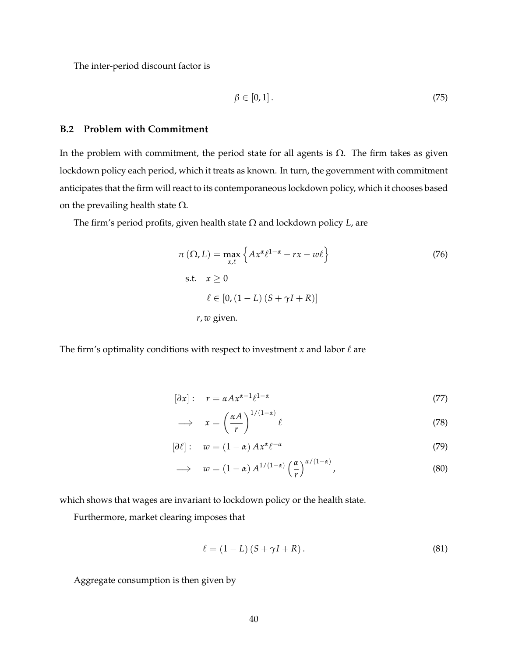The inter-period discount factor is

$$
\beta \in [0,1]. \tag{75}
$$

## **B.2 Problem with Commitment**

In the problem with commitment, the period state for all agents is  $\Omega$ . The firm takes as given lockdown policy each period, which it treats as known. In turn, the government with commitment anticipates that the firm will react to its contemporaneous lockdown policy, which it chooses based on the prevailing health state  $\Omega$ .

The firm's period profits, given health state  $\Omega$  and lockdown policy  $L$ , are

$$
\pi(\Omega, L) = \max_{x,\ell} \left\{ Ax^{\alpha} \ell^{1-\alpha} - rx - w\ell \right\}
$$
\n
$$
\text{s.t.} \quad x \ge 0
$$
\n
$$
\ell \in [0, (1 - L)(S + \gamma I + R)]
$$
\n
$$
r, w \text{ given.}
$$
\n(76)

The firm's optimality conditions with respect to investment *x* and labor  $\ell$  are

$$
[\partial x]: \quad r = \alpha A x^{\alpha - 1} \ell^{1 - \alpha} \tag{77}
$$

<span id="page-39-0"></span>
$$
\implies x = \left(\frac{\alpha A}{r}\right)^{1/(1-\alpha)} \ell \tag{78}
$$

$$
[\partial \ell]: \quad w = (1 - \alpha) A x^{\alpha} \ell^{-\alpha} \tag{79}
$$

$$
\implies w = (1 - \alpha) A^{1/(1 - \alpha)} \left(\frac{\alpha}{r}\right)^{\alpha/(1 - \alpha)}, \tag{80}
$$

which shows that wages are invariant to lockdown policy or the health state.

Furthermore, market clearing imposes that

$$
\ell = (1 - L) (S + \gamma I + R). \tag{81}
$$

Aggregate consumption is then given by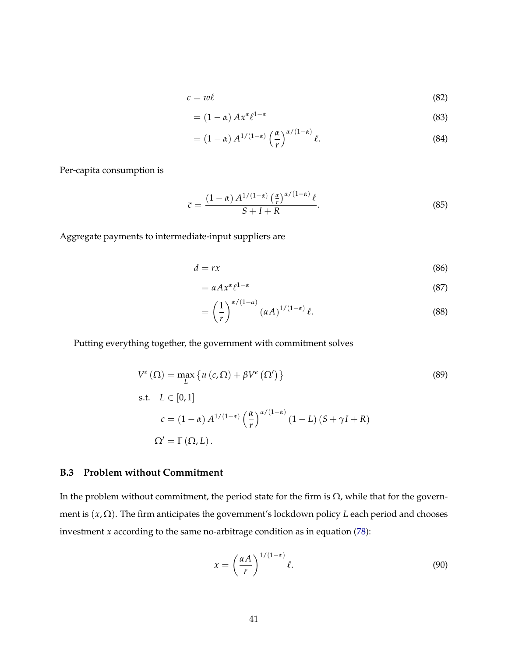$$
c = w\ell \tag{82}
$$

$$
= (1 - \alpha) A x^{\alpha} \ell^{1 - \alpha}
$$
 (83)

$$
= (1 - \alpha) A^{1/(1 - \alpha)} \left(\frac{\alpha}{r}\right)^{\alpha/(1 - \alpha)} \ell.
$$
 (84)

Per-capita consumption is

$$
\overline{c} = \frac{(1-\alpha) A^{1/(1-\alpha)} \left(\frac{\alpha}{r}\right)^{\alpha/(1-\alpha)} \ell}{S+I+R}.
$$
\n(85)

Aggregate payments to intermediate-input suppliers are

$$
d = rx \tag{86}
$$

$$
= \alpha A x^{\alpha} \ell^{1-\alpha} \tag{87}
$$

$$
= \left(\frac{1}{r}\right)^{\alpha/(1-\alpha)} (\alpha A)^{1/(1-\alpha)} \ell.
$$
 (88)

Putting everything together, the government with commitment solves

$$
V^{e}(\Omega) = \max_{L} \{ u(c, \Omega) + \beta V^{e}(\Omega') \}
$$
\n(89)

s.t. 
$$
L \in [0, 1]
$$
  
\n
$$
c = (1 - \alpha) A^{1/(1 - \alpha)} \left(\frac{\alpha}{r}\right)^{\alpha/(1 - \alpha)} (1 - L) (S + \gamma I + R)
$$
\n
$$
\Omega' = \Gamma(\Omega, L).
$$

## **B.3 Problem without Commitment**

In the problem without commitment, the period state for the firm is  $\Omega$ , while that for the government is  $(x, \Omega)$ . The firm anticipates the government's lockdown policy *L* each period and chooses investment *x* according to the same no-arbitrage condition as in equation [\(78\)](#page-39-0):

$$
x = \left(\frac{\alpha A}{r}\right)^{1/(1-\alpha)} \ell.
$$
 (90)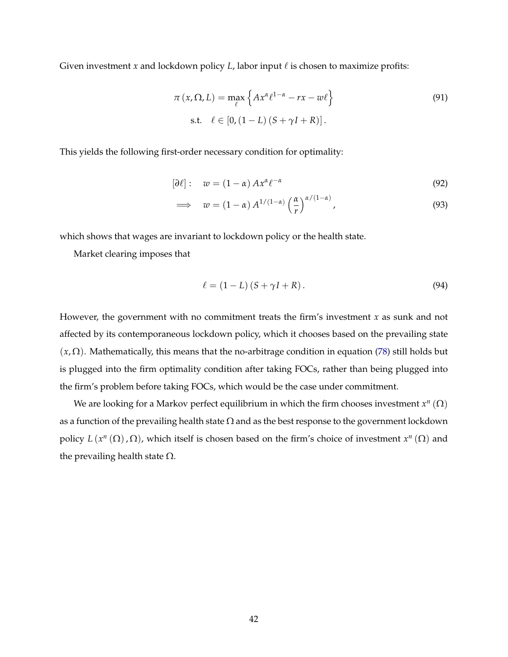Given investment *x* and lockdown policy *L*, labor input  $\ell$  is chosen to maximize profits:

$$
\pi(x,\Omega,L) = \max_{\ell} \left\{ Ax^{\alpha} \ell^{1-\alpha} - rx - w\ell \right\}
$$
\n
$$
\text{s.t.} \quad \ell \in [0, (1-L)(S+\gamma I+R)]. \tag{91}
$$

This yields the following first-order necessary condition for optimality:

$$
[\partial \ell]: \t w = (1 - \alpha) A x^{\alpha} \ell^{-\alpha} \t\t(92)
$$

$$
\implies w = (1 - \alpha) A^{1/(1 - \alpha)} \left(\frac{\alpha}{r}\right)^{\alpha/(1 - \alpha)}, \tag{93}
$$

which shows that wages are invariant to lockdown policy or the health state.

Market clearing imposes that

$$
\ell = (1 - L) (S + \gamma I + R). \tag{94}
$$

However, the government with no commitment treats the firm's investment *x* as sunk and not affected by its contemporaneous lockdown policy, which it chooses based on the prevailing state  $(x, \Omega)$ . Mathematically, this means that the no-arbitrage condition in equation [\(78\)](#page-39-0) still holds but is plugged into the firm optimality condition after taking FOCs, rather than being plugged into the firm's problem before taking FOCs, which would be the case under commitment.

We are looking for a Markov perfect equilibrium in which the firm chooses investment  $x^n(\Omega)$ as a function of the prevailing health state  $\Omega$  and as the best response to the government lockdown policy  $L(x^n(\Omega), \Omega)$ , which itself is chosen based on the firm's choice of investment  $x^n(\Omega)$  and the prevailing health state  $\Omega$ .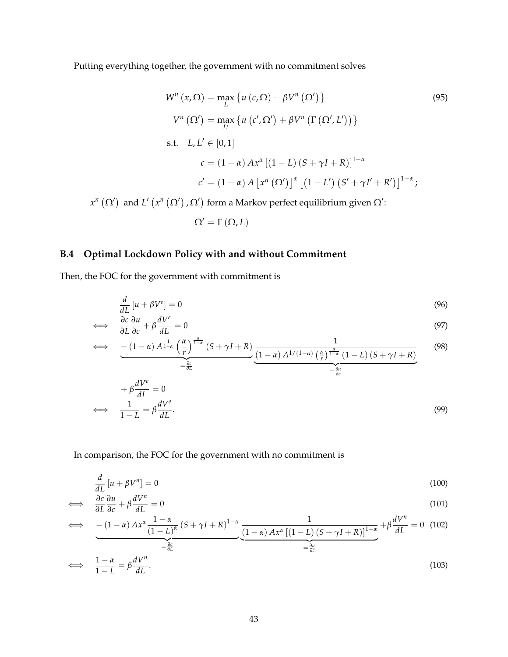Putting everything together, the government with no commitment solves

$$
W^{n}(x,\Omega) = \max_{L} \{ u(c,\Omega) + \beta V^{n}(\Omega') \}
$$
\n
$$
V^{n}(\Omega') = \max_{L'} \{ u(c',\Omega') + \beta V^{n}(\Gamma(\Omega',L')) \}
$$
\n
$$
s.t. L, L' \in [0,1]
$$
\n
$$
c = (1-\alpha) Ax^{\alpha} [(1-L)(S+\gamma I+R)]^{1-\alpha}
$$
\n
$$
c' = (1-\alpha) A [x^{n}(\Omega')]^{\alpha} [(1-L')(S'+\gamma I'+R')]^{1-\alpha};
$$
\n
$$
V(x^{n}(\Omega'), \Omega') \text{ form a Markov perfect equilibrium given } \Omega'.
$$
\n(95)

 $x^n (\Omega')$  and  $L'$   $(x^n (\Omega')$  ,  $\Omega')$  form a Markov perfect equilibrium given  $\Omega'$ 

$$
\Omega' = \Gamma(\Omega, L)
$$

# **B.4 Optimal Lockdown Policy with and without Commitment**

Then, the FOC for the government with commitment is

$$
\frac{d}{dL}\left[u + \beta V^e\right] = 0\tag{96}
$$

$$
\iff \frac{\partial c}{\partial L} \frac{\partial u}{\partial c} + \beta \frac{dV^e}{dL} = 0 \tag{97}
$$

$$
\iff - (1 - \alpha) A^{\frac{1}{1 - \alpha}} \left(\frac{\alpha}{r}\right)^{\frac{\alpha}{1 - \alpha}} (S + \gamma I + R) \underbrace{\frac{1}{(1 - \alpha) A^{1/(1 - \alpha)} \left(\frac{\alpha}{r}\right)^{\frac{\alpha}{1 - \alpha}} (1 - L) (S + \gamma I + R)}}_{= \frac{\partial c}{\partial L}}
$$
(98)

$$
+\beta \frac{dV^e}{dL} = 0
$$
  

$$
\iff \frac{1}{1-L} = \beta \frac{dV^e}{dL}.
$$
 (99)

In comparison, the FOC for the government with no commitment is

$$
\frac{d}{dL}\left[u + \beta V^n\right] = 0\tag{100}
$$

$$
\iff \frac{\partial c}{\partial L} \frac{\partial u}{\partial c} + \beta \frac{dV^n}{dL} = 0 \tag{101}
$$

$$
\iff - (1 - \alpha) Ax^{\alpha} \frac{1 - \alpha}{(1 - L)^{\alpha}} (S + \gamma I + R)^{1 - \alpha} \underbrace{\frac{1}{(1 - \alpha) Ax^{\alpha} [(1 - L) (S + \gamma I + R)]^{1 - \alpha}}}_{=\frac{\partial u}{\partial c}} + \beta \frac{dV^{n}}{dL} = 0 \tag{102}
$$

$$
\iff \frac{1-\alpha}{1-L} = \beta \frac{dV^n}{dL}.\tag{103}
$$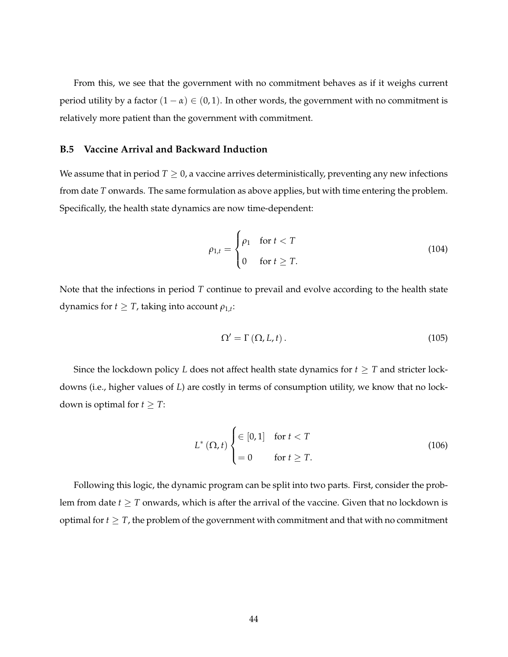From this, we see that the government with no commitment behaves as if it weighs current period utility by a factor  $(1 - \alpha) \in (0, 1)$ . In other words, the government with no commitment is relatively more patient than the government with commitment.

#### **B.5 Vaccine Arrival and Backward Induction**

We assume that in period  $T \geq 0$ , a vaccine arrives deterministically, preventing any new infections from date *T* onwards. The same formulation as above applies, but with time entering the problem. Specifically, the health state dynamics are now time-dependent:

$$
\rho_{1,t} = \begin{cases} \rho_1 & \text{for } t < T \\ 0 & \text{for } t \ge T. \end{cases} \tag{104}
$$

Note that the infections in period *T* continue to prevail and evolve according to the health state dynamics for  $t \geq T$ , taking into account  $\rho_{1,t}$ :

$$
\Omega' = \Gamma(\Omega, L, t). \tag{105}
$$

Since the lockdown policy *L* does not affect health state dynamics for  $t \geq T$  and stricter lockdowns (i.e., higher values of *L*) are costly in terms of consumption utility, we know that no lockdown is optimal for  $t \geq T$ :

$$
L^{\ast}(\Omega, t) \begin{cases} \in [0, 1] & \text{for } t < T \\ = 0 & \text{for } t \geq T. \end{cases} \tag{106}
$$

Following this logic, the dynamic program can be split into two parts. First, consider the problem from date  $t \geq T$  onwards, which is after the arrival of the vaccine. Given that no lockdown is optimal for  $t \geq T$ , the problem of the government with commitment and that with no commitment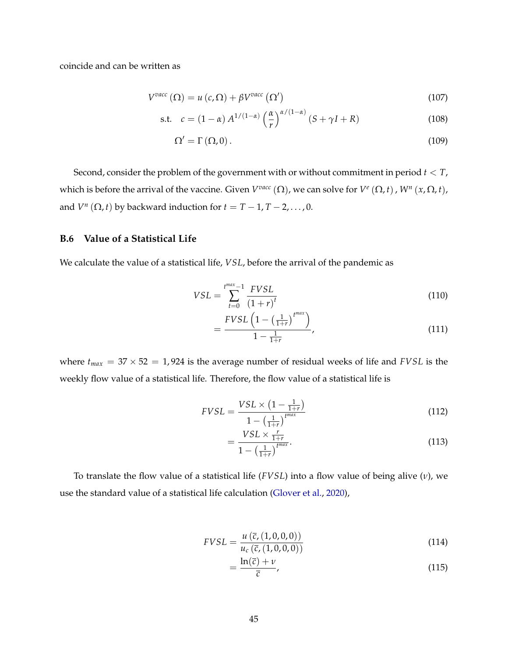coincide and can be written as

$$
V^{vacc}(\Omega) = u(c,\Omega) + \beta V^{vacc}(\Omega')
$$
\n(107)

$$
\text{s.t.} \quad c = (1 - \alpha) A^{1/(1 - \alpha)} \left(\frac{\alpha}{r}\right)^{\alpha/(1 - \alpha)} (S + \gamma I + R) \tag{108}
$$

$$
\Omega' = \Gamma(\Omega, 0). \tag{109}
$$

Second, consider the problem of the government with or without commitment in period *t < T*, which is before the arrival of the vaccine. Given  $V^{vac}(\Omega)$ , we can solve for  $V^e(\Omega, t)$ ,  $W^n(x, \Omega, t)$ , and  $V^n(\Omega, t)$  by backward induction for  $t = T - 1, T - 2, \ldots, 0$ .

## **B.6 Value of a Statistical Life**

We calculate the value of a statistical life, *VSL*, before the arrival of the pandemic as

$$
VSL = \sum_{t=0}^{t^{max}-1} \frac{FVSL}{(1+r)^t}
$$
 (110)

$$
=\frac{FVSL\left(1-\left(\frac{1}{1+r}\right)^{t^{max}}\right)}{1-\frac{1}{1+r}},\tag{111}
$$

where  $t_{max} = 37 \times 52 = 1,924$  is the average number of residual weeks of life and *FVSL* is the weekly flow value of a statistical life. Therefore, the flow value of a statistical life is

$$
FVSL = \frac{VSL \times (1 - \frac{1}{1+r})}{1 - (\frac{1}{1+r})^{t^{max}}} \tag{112}
$$

$$
=\frac{VSL \times \frac{r}{1+r}}{1-\left(\frac{1}{1+r}\right)^{t^{max}}}. \tag{113}
$$

To translate the flow value of a statistical life (*FVSL*) into a flow value of being alive (*n*), we use the standard value of a statistical life calculation [\(Glover et al.,](#page-31-15) [2020\)](#page-31-15),

$$
FVSL = \frac{u(\bar{c}, (1,0,0,0))}{u_c(\bar{c}, (1,0,0,0))}
$$
(114)

$$
=\frac{\ln(\bar{c})+\nu}{\bar{c}},\tag{115}
$$